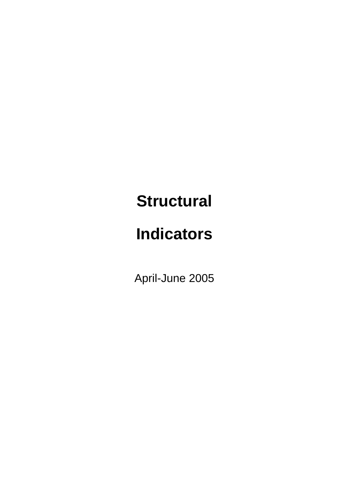## **Structural**

# **Indicators**

April-June 2005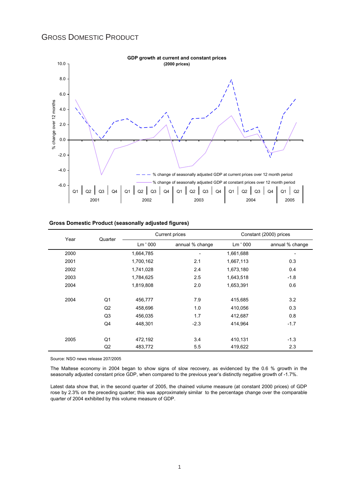### GROSS DOMESTIC PRODUCT



#### **Gross Domestic Product (seasonally adjusted figures)**

| Year | Quarter        |           | <b>Current prices</b> | Constant (2000) prices |                 |  |
|------|----------------|-----------|-----------------------|------------------------|-----------------|--|
|      |                | Lm ' 000  | annual % change       | Lm ' 000               | annual % change |  |
| 2000 |                | 1,664,785 |                       | 1,661,688              | ٠               |  |
| 2001 |                | 1,700,162 | 2.1                   | 1,667,113              | 0.3             |  |
| 2002 |                | 1,741,028 | 2.4                   | 1,673,180              | 0.4             |  |
| 2003 |                | 1,784,625 | 2.5                   | 1,643,518              | $-1.8$          |  |
| 2004 |                | 1,819,808 | 2.0                   | 1,653,391              | 0.6             |  |
| 2004 | Q1             | 456,777   | 7.9                   | 415,685                | 3.2             |  |
|      | Q2             | 458,696   | 1.0                   | 410,056                | 0.3             |  |
|      | Q <sub>3</sub> | 456,035   | 1.7                   | 412,687                | 0.8             |  |
|      | Q4             | 448,301   | $-2.3$                | 414,964                | $-1.7$          |  |
| 2005 | Q1             | 472,192   | 3.4                   | 410,131                | $-1.3$          |  |
|      | Q2             | 483,772   | 5.5                   | 419,622                | 2.3             |  |

Source: NSO news release 207/2005

The Maltese economy in 2004 began to show signs of slow recovery, as evidenced by the 0.6 % growth in the seasonally adjusted constant price GDP, when compared to the previous year's distinctly negative growth of -1.7%.

Latest data show that, in the second quarter of 2005, the chained volume measure (at constant 2000 prices) of GDP rose by 2.3% on the preceding quarter; this was approximately similar to the percentage change over the comparable quarter of 2004 exhibited by this volume measure of GDP.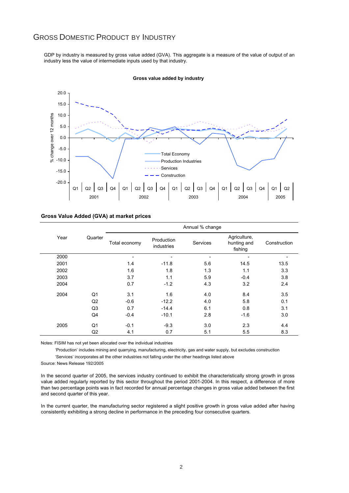### GROSS DOMESTIC PRODUCT BY INDUSTRY

GDP by industry is measured by gross value added (GVA). This aggregate is a measure of the value of output of an industry less the value of intermediate inputs used by that industry.



#### **Gross value added by industry**

#### **Gross Value Added (GVA) at market prices**

|      |                |               |                          | Annual % change |                                        |              |
|------|----------------|---------------|--------------------------|-----------------|----------------------------------------|--------------|
| Year | Quarter        | Total economy | Production<br>industries | Services        | Agriculture,<br>hunting and<br>fishing | Construction |
| 2000 |                |               |                          |                 |                                        |              |
| 2001 |                | 1.4           | $-11.8$                  | 5.6             | 14.5                                   | 13.5         |
| 2002 |                | 1.6           | 1.8                      | 1.3             | 1.1                                    | 3.3          |
| 2003 |                | 3.7           | 1.1                      | 5.9             | $-0.4$                                 | 3.8          |
| 2004 |                | 0.7           | $-1.2$                   | 4.3             | 3.2                                    | 2.4          |
| 2004 | Q <sub>1</sub> | 3.1           | 1.6                      | 4.0             | 8.4                                    | 3.5          |
|      | Q2             | $-0.6$        | $-12.2$                  | 4.0             | 5.8                                    | 0.1          |
|      | Q3             | 0.7           | $-14.4$                  | 6.1             | 0.8                                    | 3.1          |
|      | Q4             | $-0.4$        | $-10.1$                  | 2.8             | $-1.6$                                 | 3.0          |
| 2005 | Q1             | $-0.1$        | $-9.3$                   | 3.0             | 2.3                                    | 4.4          |
|      | Q2             | 4.1           | 0.7                      | 5.1             | 5.5                                    | 8.3          |

Notes: FISIM has not yet been allocated over the individual industries

 'Production' includes mining and quarrying, manufacturing, electricity, gas and water supply, but excludes construction 'Services' incorporates all the other industries not falling under the other headings listed above

Source: News Release 192/2005

In the second quarter of 2005, the services industry continued to exhibit the characteristically strong growth in gross value added regularly reported by this sector throughout the period 2001-2004. In this respect, a difference of more than two percentage points was in fact recorded for annual percentage changes in gross value added between the first and second quarter of this year.

In the current quarter, the manufacturing sector registered a slight positive growth in gross value added after having consistently exhibiting a strong decline in performance in the preceding four consecutive quarters.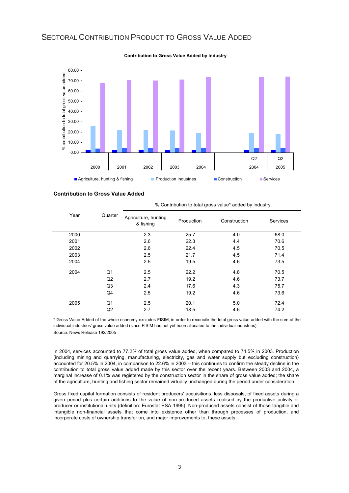#### 80.00 contribution to total gross value added % contribution to total gross value added 70.00 60.00 50.00 40.00 30.00 20.00 10.00  $\overline{\varepsilon}$ 0.00  $\Omega$   $\Omega$ 2000 2001 2002 2003 2004 2004 2005 **Agriculture, hunting & fishing Construction Industries Construction Construction** Services

### SECTORAL CONTRIBUTION PRODUCT TO GROSS VALUE ADDED

**Contribution to Gross Value Added by Industry**

**Contribution to Gross Value Added**

|      |         |                                   |            | % Contribution to total gross value* added by industry |                 |
|------|---------|-----------------------------------|------------|--------------------------------------------------------|-----------------|
| Year | Quarter | Agriculture, hunting<br>& fishing | Production | Construction                                           | <b>Services</b> |
| 2000 |         | 2.3                               | 25.7       | 4.0                                                    | 68.0            |
| 2001 |         | 2.6                               | 22.3       | 4.4                                                    | 70.6            |
| 2002 |         | 2.6                               | 22.4       | 4.5                                                    | 70.5            |
| 2003 |         | 2.5                               | 21.7       | 4.5                                                    | 71.4            |
| 2004 |         | 2.5                               | 19.5       | 4.6                                                    | 73.5            |
| 2004 | Q1      | 2.5                               | 22.2       | 4.8                                                    | 70.5            |
|      | Q2      | 2.7                               | 19.2       | 4.6                                                    | 73.7            |
|      | Q3      | 2.4                               | 17.6       | 4.3                                                    | 75.7            |
|      | Q4      | 2.5                               | 19.2       | 4.6                                                    | 73.6            |
| 2005 | Q1      | 2.5                               | 20.1       | 5.0                                                    | 72.4            |
|      | Q2      | 2.7                               | 18.5       | 4.6                                                    | 74.2            |

\* Gross Value Added of the whole economy excludes FISIM, in order to reconcile the total gross value added with the sum of the individual industries' gross value added (since FISIM has not yet been allocated to the individual industries)

Source: News Release 192/2005

In 2004, services accounted to 77.2% of total gross value added, when compared to 74.5% in 2003. Production (including mining and quarrying, manufacturing, electricity, gas and water supply but excluding construction) accounted for 20.5% in 2004, in comparison to 22.6% in 2003 – this continues to confirm the steady decline in the contribution to total gross value added made by this sector over the recent years. Between 2003 and 2004, a marginal increase of 0.1% was registered by the construction sector in the share of gross value added; the share of the agriculture, hunting and fishing sector remained virtually unchanged during the period under consideration.

Gross fixed capital formation consists of resident producers' acquisitions, less disposals, of fixed assets during a given period plus certain additions to the value of non-produced assets realised by the productive activity of producer or institutional units (definition: Eurostat ESA 1995). Non-produced assets consist of those tangible and intangible non-financial assets that come into existence other than through processes of production, and incorporate costs of ownership transfer on, and major improvements to, these assets.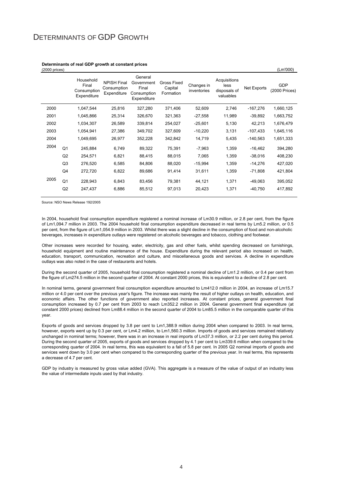### DETERMINANTS OF GDP GROWTH

| $(2000)$ prices) |                |                                                  |                                                  |                                                              |                                     |                           |                                                   |             | (Lm'000)                    |
|------------------|----------------|--------------------------------------------------|--------------------------------------------------|--------------------------------------------------------------|-------------------------------------|---------------------------|---------------------------------------------------|-------------|-----------------------------|
|                  |                | Household<br>Final<br>Consumption<br>Expenditure | <b>NPISH Final</b><br>Consumption<br>Expenditure | General<br>Government<br>Final<br>Consumption<br>Expenditure | Gross Fixed<br>Capital<br>Formation | Changes in<br>inventories | Acquisitions<br>less<br>disposals of<br>valuables | Net Exports | <b>GDP</b><br>(2000 Prices) |
| 2000             |                | 1,047,544                                        | 25,816                                           | 327,280                                                      | 371,406                             | 52,609                    | 2,746                                             | $-167,276$  | 1,660,125                   |
| 2001             |                | 1,045,866                                        | 25,314                                           | 326,670                                                      | 321,363                             | $-27,558$                 | 11,989                                            | $-39,892$   | 1,663,752                   |
| 2002             |                | 1,034,307                                        | 26,589                                           | 339,814                                                      | 254,027                             | $-25,601$                 | 5,130                                             | 42,213      | 1,676,479                   |
| 2003             |                | 1,054,941                                        | 27,386                                           | 349,702                                                      | 327,609                             | $-10,220$                 | 3,131                                             | $-107,433$  | 1,645,116                   |
| 2004             |                | 1,049,695                                        | 26,977                                           | 352,228                                                      | 342,842                             | 14,719                    | 5,435                                             | $-140,563$  | 1,651,333                   |
| 2004             | Q <sub>1</sub> | 245,884                                          | 6,749                                            | 89,322                                                       | 75,391                              | $-7,963$                  | 1,359                                             | $-16,462$   | 394,280                     |
|                  | Q2             | 254,571                                          | 6,821                                            | 88,415                                                       | 88,015                              | 7,065                     | 1,359                                             | $-38,016$   | 408,230                     |
|                  | Q3             | 276,520                                          | 6,585                                            | 84,806                                                       | 88,020                              | $-15,994$                 | 1,359                                             | $-14,276$   | 427,020                     |
|                  | Q4             | 272,720                                          | 6,822                                            | 89,686                                                       | 91,414                              | 31,611                    | 1,359                                             | -71,808     | 421,804                     |
| 2005             | Q <sub>1</sub> | 228,943                                          | 6,843                                            | 83,456                                                       | 79,381                              | 44,121                    | 1,371                                             | -49,063     | 395,052                     |
|                  | Q2             | 247,437                                          | 6,886                                            | 85,512                                                       | 97,013                              | 20,423                    | 1,371                                             | -40,750     | 417,892                     |

#### **Determinants of real GDP growth at constant prices**

Source: NSO News Release 192/2005

In 2004, household final consumption expenditure registered a nominal increase of Lm30.9 million, or 2.8 per cent, from the figure of Lm1,094.7 million in 2003. The 2004 household final consumption expenditure decreased in real terms by Lm5.2 million, or 0.5 per cent, from the figure of Lm1,054.9 million in 2003. Whilst there was a slight decline in the consumption of food and non-alcoholic beverages, increases in expenditure outlays were registered on alcoholic beverages and tobacco, clothing and footwear.

Other increases were recorded for housing, water, electricity, gas and other fuels, whilst spending decreased on furnishings, household equipment and routine maintenance of the house. Expenditure during the relevant period also increased on health, education, transport, communication, recreation and culture, and miscellaneous goods and services. A decline in expenditure outlays was also noted in the case of restaurants and hotels.

During the second quarter of 2005, household final consumption registered a nominal decline of Lm1.2 million, or 0.4 per cent from the figure of Lm274.5 million in the second quarter of 2004. At constant 2000 prices, this is equivalent to a decline of 2.8 per cent.

In nominal terms, general government final consumption expenditure amounted to Lm412.0 million in 2004, an increase of Lm15.7 million or 4.0 per cent over the previous year's figure. The increase was mainly the result of higher outlays on health, education, and economic affairs. The other functions of government also reported increases. At constant prices, general government final consumption increased by 0.7 per cent from 2003 to reach Lm352.2 million in 2004. General government final expenditure (at constant 2000 prices) declined from Lm88.4 million in the second quarter of 2004 to Lm85.5 million in the comparable quarter of this year.

Exports of goods and services dropped by 3.8 per cent to Lm1,388.9 million during 2004 when compared to 2003. In real terms, however, exports went up by 0.3 per cent, or Lm4.2 million, to Lm1,560.3 million. Imports of goods and services remained relatively unchanged in nominal terms; however, there was in an increase in real imports of Lm37.3 million, or 2.2 per cent during this period. During the second quarter of 2005, exports of goods and services dropped by 4.1 per cent to Lm339.6 million when compared to the corresponding quarter of 2004. In real terms, this was equivalent to a fall of 5.8 per cent. In 2005 Q2 nominal imports of goods and services went down by 3.0 per cent when compared to the corresponding quarter of the previous year. In real terms, this represents a decrease of 4.7 per cent.

GDP by industry is measured by gross value added (GVA). This aggregate is a measure of the value of output of an industry less the value of intermediate inputs used by that industry.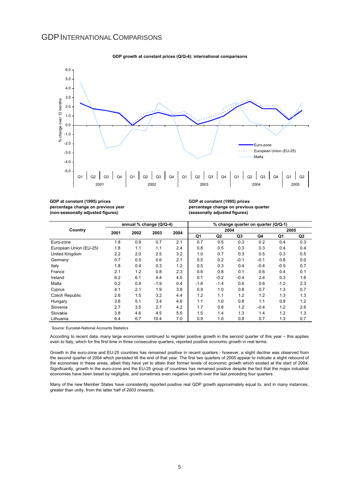#### GDPINTERNATIONALCOMPARISONS



#### **GDP growth at constant prices (Q/Q-4): international comparisons**

**GDP at constant (1995) prices percentage change on previous year (non-seasonally adjusted figures)**

**GDP at constant (1995) prices percentage change on previous quarter (seasonally adjusted figures)**

|                        |      | annual % change (Q/Q-4) |        |      | % change quarter on quarter (Q/Q-1) |        |        |        |        |     |
|------------------------|------|-------------------------|--------|------|-------------------------------------|--------|--------|--------|--------|-----|
| Country                | 2001 | 2002                    | 2003   | 2004 |                                     | 2004   |        |        | 2005   |     |
|                        |      |                         |        |      | Q1                                  | Q2     | Q3     | Q4     | Q1     | Q2  |
| Euro-zone              | 1.8  | 0.9                     | 0.7    | 2.1  | 0.7                                 | 0.5    | 0.3    | 0.2    | 0.4    | 0.3 |
| European Union (EU-25) | 1.8  | 1.1                     | 1.1    | 2.4  | 0.8                                 | 0.5    | 0.3    | 0.3    | 0.4    | 0.4 |
| United Kingdom         | 2.2  | 2.0                     | 2.5    | 3.2  | 1.0                                 | 0.7    | 0.3    | 0.5    | 0.3    | 0.5 |
| Germany                | 0.7  | 0.5                     | 0.6    | 2.1  | 0.5                                 | 0.2    | $-0.1$ | $-0.1$ | 0.8    | 0.0 |
| Italy                  | 1.8  | 0.4                     | 0.3    | 1.2  | 0.5                                 | 0.3    | 0.4    | $-0.4$ | $-0.5$ | 0.7 |
| France                 | 2.1  | 1.2                     | 0.8    | 2.3  | 0.6                                 | 0.8    | 0.1    | 0.6    | 0.4    | 0.1 |
| Ireland                | 6.2  | 6.1                     | 4.4    | 4.5  | 0.1                                 | $-0.2$ | $-0.4$ | 2.4    | 0.3    | 1.6 |
| Malta                  | 0.2  | 0.8                     | $-1.9$ | 0.4  | $-1.6$                              | $-1.4$ | 0.6    | 0.6    | $-1.2$ | 2.3 |
| Cyprus                 | 4.1  | 2.1                     | 1.9    | 3.8  | 0.9                                 | 1.0    | 0.8    | 0.7    | 1.3    | 0.7 |
| <b>Czech Republic</b>  | 2.6  | 1.5                     | 3.2    | 4.4  | 1.2                                 | 1.1    | 1.2    | 1.2    | 1.3    | 1.3 |
| Hungary                | 3.8  | 5.1                     | 3.4    | 4.6  | 1.1                                 | 1.0    | 0.8    | 1.1    | 0.9    | 1.2 |
| Slovenia               | 2.7  | 3.5                     | 2.7    | 4.2  | 1.7                                 | 0.8    | 1.2    | $-0.4$ | 1.2    | 2.6 |
| Slovakia               | 3.8  | 4.6                     | 4.5    | 5.5  | 1.5                                 | 1.4    | 1.3    | 1.4    | 1.2    | 1.3 |
| Lithuania              | 6.4  | 6.7                     | 10.4   | 7.0  | 0.9                                 | 1.0    | 0.8    | 0.7    | 1.3    | 0.7 |

Source: Eurostat-National Accounts Statistics

According to recent data, many large economies continued to register positive growth in the second quarter of this year – this applies even to Italy, which for the first time in three consecutive quarters, reported positive economic growth in real terms.

Growth in the euro-zone and EU-25 countries has remained positive in recent quarters - however, a slight decline was observed from the second quarter of 2004 which persisted till the end of that year. The first two quarters of 2005 appear to indicate a slight rebound of the economies in these areas, albeit they have yet to attain their former levels of economic growth which existed at the start of 2004. Significantly, growth in the euro-zone and the EU-25 group of countries has remained positive despite the fact that the major industrial economies have been beset by negligible, and sometimes even negative growth over the last preceding four quarters.

Many of the new Member States have consistently reported positive real GDP growth approximately equal to, and in many instances, greater than unity, from the latter half of 2003 onwards.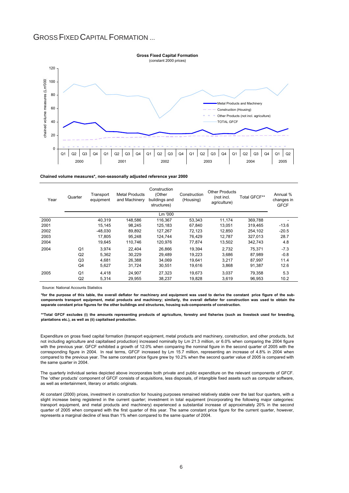### GROSS FIXED CAPITAL FORMATION ...



**Chained volume measures\*, non-seasonally adjusted reference year 2000**

| Year | Quarter        | Transport<br>equipment | <b>Metal Products</b><br>and Machinery | Construction<br>(Other<br>buildings and<br>structures) | Construction<br>(Housing) | <b>Other Products</b><br>(not incl.<br>agriculture) | Total GFCF** | Annual %<br>changes in<br><b>GFCF</b> |
|------|----------------|------------------------|----------------------------------------|--------------------------------------------------------|---------------------------|-----------------------------------------------------|--------------|---------------------------------------|
|      |                |                        |                                        | Lm '000                                                |                           |                                                     |              |                                       |
| 2000 |                | 40.319                 | 148.586                                | 116.367                                                | 53.343                    | 11.174                                              | 369.788      |                                       |
| 2001 |                | 15.145                 | 98.245                                 | 125,183                                                | 67.840                    | 13.051                                              | 319.465      | $-13.6$                               |
| 2002 |                | $-48,030$              | 89,892                                 | 127,267                                                | 72,123                    | 12,850                                              | 254,102      | $-20.5$                               |
| 2003 |                | 17.805                 | 95.248                                 | 124.744                                                | 76.429                    | 12.787                                              | 327,013      | 28.7                                  |
| 2004 |                | 19.645                 | 110.746                                | 120.976                                                | 77.874                    | 13.502                                              | 342.743      | 4.8                                   |
| 2004 | Q <sub>1</sub> | 3.974                  | 22.404                                 | 26.866                                                 | 19.394                    | 2.732                                               | 75.371       | $-7.3$                                |
|      | Q2             | 5,362                  | 30.229                                 | 29.489                                                 | 19.223                    | 3.686                                               | 87.989       | $-0.8$                                |
|      | Q <sub>3</sub> | 4.681                  | 26.388                                 | 34.069                                                 | 19.641                    | 3.217                                               | 87.997       | 11.4                                  |
|      | Q4             | 5,627                  | 31,724                                 | 30,551                                                 | 19,616                    | 3,868                                               | 91,387       | 12.6                                  |
| 2005 | Q <sub>1</sub> | 4.418                  | 24.907                                 | 27,323                                                 | 19.673                    | 3.037                                               | 79.358       | 5.3                                   |
|      | Q2             | 5,314                  | 29.955                                 | 38.237                                                 | 19,828                    | 3.619                                               | 96.953       | 10.2                                  |

Source: National Accounts Statistics

**\*for the purpose of this table, the overall deflator for machinery and equipment was used to derive the constant price figure of the subcomponents transport equipment, metal products and machinery; similarly, the overall deflator for construction was used to obtain the separate constant price figures for the other buildings and structures, housing sub-components of construction.** 

**\*\*Total GFCF excludes (i) the amounts representing products of agriculture, forestry and fisheries (such as livestock used for breeding, plantations etc.), as well as (ii) capitalised production.**

Expenditure on gross fixed capital formation (transport equipment, metal products and machinery, construction, and other products, but not including agriculture and capitalised production) increased nominally by Lm 21.3 million, or 6.0% when comparing the 2004 figure with the previous year. GFCF exhibited a growth of 12.0% when comparing the nominal figure in the second quarter of 2005 with the corresponding figure in 2004. In real terms, GFCF increased by Lm 15.7 million, representing an increase of 4.8% in 2004 when compared to the previous year. The same constant price figure grew by 10.2% when the second quarter value of 2005 is compared with the same quarter in 2004.

The quarterly individual series depicted above incorporates both private and public expenditure on the relevant components of GFCF. The 'other products' component of GFCF consists of acquisitions, less disposals, of intangible fixed assets such as computer software, as well as entertainment, literary or artistic originals.

At constant (2000) prices, investment in construction for housing purposes remained relatively stable over the last four quarters, with a slight increase being registered in the current quarter; investment in total equipment (incorporating the following major categories: transport equipment, and metal products and machinery) experienced a substantial increase of approximately 20% in the second quarter of 2005 when compared with the first quarter of this year. The same constant price figure for the current quarter, however, represents a marginal decline of less than 1% when compared to the same quarter of 2004.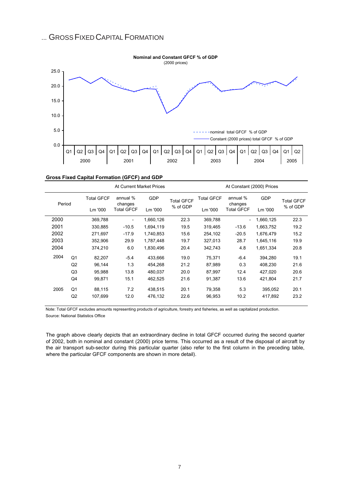### ... GROSS FIXED CAPITAL FORMATION



| Gross Fixed Capital Formation (GFCF) and GDP |  |  |  |  |  |
|----------------------------------------------|--|--|--|--|--|
|----------------------------------------------|--|--|--|--|--|

|        |                |                   | At Current Market Prices |            |                   |                   | At Constant (2000) Prices |            |                   |
|--------|----------------|-------------------|--------------------------|------------|-------------------|-------------------|---------------------------|------------|-------------------|
| Period |                | <b>Total GFCF</b> | annual %<br>changes      | <b>GDP</b> | <b>Total GFCF</b> | <b>Total GFCF</b> | annual %<br>changes       | <b>GDP</b> | <b>Total GFCF</b> |
|        |                | Lm '000           | <b>Total GFCF</b>        | Lm '000    | % of GDP          | Lm '000           | Total GFCF                | Lm '000    | % of GDP          |
| 2000   |                | 369,788           |                          | 1,660,126  | 22.3              | 369,788           |                           | 1,660,125  | 22.3              |
| 2001   |                | 330,885           | $-10.5$                  | 1,694,119  | 19.5              | 319,465           | $-13.6$                   | 1,663,752  | 19.2              |
| 2002   |                | 271,697           | $-17.9$                  | 1,740,853  | 15.6              | 254,102           | $-20.5$                   | 1,676,479  | 15.2              |
| 2003   |                | 352.906           | 29.9                     | 1,787,448  | 19.7              | 327,013           | 28.7                      | 1,645,116  | 19.9              |
| 2004   |                | 374,210           | 6.0                      | 1,830,496  | 20.4              | 342,743           | 4.8                       | 1,651,334  | 20.8              |
| 2004   | Q <sub>1</sub> | 82,207            | $-5.4$                   | 433,666    | 19.0              | 75,371            | $-6.4$                    | 394,280    | 19.1              |
|        | Q2             | 96,144            | 1.3                      | 454,268    | 21.2              | 87,989            | 0.3                       | 408,230    | 21.6              |
|        | Q3             | 95,988            | 13.8                     | 480,037    | 20.0              | 87,997            | 12.4                      | 427,020    | 20.6              |
|        | Q4             | 99,871            | 15.1                     | 462,525    | 21.6              | 91,387            | 13.6                      | 421,804    | 21.7              |
| 2005   | Q1             | 88,115            | 7.2                      | 438,515    | 20.1              | 79,358            | 5.3                       | 395,052    | 20.1              |
|        | Q2             | 107,699           | 12.0                     | 476,132    | 22.6              | 96,953            | 10.2                      | 417,892    | 23.2              |

Note: Total GFCF excludes amounts representing products of agriculture, forestry and fisheries, as well as capitalized production. Source: National Statistics Office

The graph above clearly depicts that an extraordinary decline in total GFCF occurred during the second quarter of 2002, both in nominal and constant (2000) price terms. This occurred as a result of the disposal of aircraft by the air transport sub-sector during this particular quarter (also refer to the first column in the preceding table, where the particular GFCF components are shown in more detail).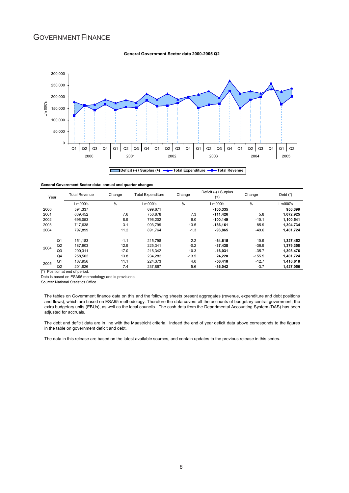### GOVERNMENT FINANCE

#### **General Government Sector data 2000-2005 Q2**



#### **General Government Sector data: annual and quarter changes**

| Year |                | <b>Total Revenue</b> | Change | <b>Total Expenditure</b> | Change  | Deficit (-) / Surplus<br>$^{(+)}$ | Change   | Debt $(*)$ |
|------|----------------|----------------------|--------|--------------------------|---------|-----------------------------------|----------|------------|
|      |                | Lm000's              | %      | Lm000's                  | %       | Lm000's                           | %        | Lm000's    |
| 2000 |                | 594.337              |        | 699.671                  |         | $-105,335$                        |          | 950,399    |
| 2001 |                | 639.452              | 7.6    | 750.878                  | 7.3     | $-111.426$                        | 5.8      | 1,072,925  |
| 2002 |                | 696.053              | 8.9    | 796.202                  | 6.0     | $-100.149$                        | $-10.1$  | 1,100,541  |
| 2003 |                | 717.638              | 3.1    | 903.799                  | 13.5    | $-186,161$                        | 85.9     | 1,304,734  |
| 2004 |                | 797,899              | 11.2   | 891.764                  | $-1.3$  | $-93.865$                         | $-49.6$  | 1,401,724  |
|      | Q <sub>1</sub> | 151.183              | $-1.1$ | 215.798                  | 2.2     | $-64.615$                         | 10.9     | 1,327,452  |
| 2004 | Q2             | 187.903              | 12.9   | 225.341                  | $-0.2$  | $-37.438$                         | $-36.9$  | 1,379,358  |
|      | Q <sub>3</sub> | 200.311              | 17.0   | 216.342                  | 10.3    | $-16,031$                         | $-35.7$  | 1,393,476  |
|      | Q <sub>4</sub> | 258.502              | 13.8   | 234.282                  | $-13.5$ | 24.220                            | $-155.5$ | 1,401,724  |
| 2005 | Q <sub>1</sub> | 167,956              | 11.1   | 224.373                  | 4.0     | $-56,418$                         | $-12.7$  | 1,416,618  |
|      | Q2             | 201.826              | 7.4    | 237.867                  | 5.6     | $-36.042$                         | $-3.7$   | 1.427.056  |

(\*) Position at end of period.

Data is based on ESA95 methodology and is provisional.

Source: National Statistics Office

The tables on Government finance data on this and the following sheets present aggregates (revenue, expenditure and debt positions and flows), which are based on ESA95 methodology. Therefore the data covers all the accounts of budgetary central government, the extra budgetary units (EBUs), as well as the local councils. The cash data from the Departmental Accounting System (DAS) has been adjusted for accruals.

The debt and deficit data are in line with the Maastricht criteria. Indeed the end of year deficit data above corresponds to the figures in the table on government deficit and debt.

The data in this release are based on the latest available sources, and contain updates to the previous release in this series.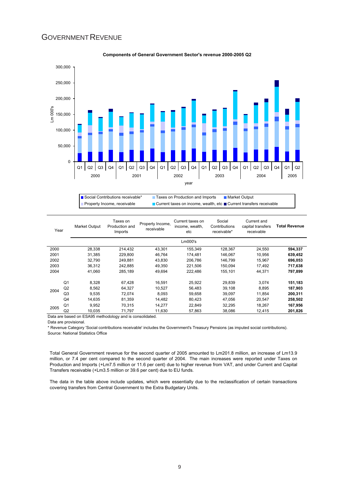### **GOVERNMENT REVENUE**



#### **Components of General Government Sector's revenue 2000-2005 Q2**

■ Social Contributions receivable\* Taxes on Production and Imports Market Output Property Income, receivable  $\Box$  Current taxes on income, wealth, etc  $\Box$  Current transfers receivable

| Year |                | Market Output | Taxes on<br>Production and<br>Imports | Property Income,<br>receivable | Current taxes on<br>income, wealth,<br>etc | Social<br>Contributions<br>receivable* | Current and<br>capital transfers<br>receivable | <b>Total Revenue</b> |
|------|----------------|---------------|---------------------------------------|--------------------------------|--------------------------------------------|----------------------------------------|------------------------------------------------|----------------------|
|      |                |               |                                       |                                | Lm000's                                    |                                        |                                                |                      |
| 2000 |                | 28,338        | 214,432                               | 43,301                         | 155,349                                    | 128,367                                | 24,550                                         | 594,337              |
| 2001 |                | 31.385        | 229.800                               | 46,764                         | 174.481                                    | 146.067                                | 10.956                                         | 639,452              |
| 2002 |                | 32.790        | 249,881                               | 43,830                         | 206,786                                    | 146,799                                | 15.967                                         | 696,053              |
| 2003 |                | 36.312        | 242.885                               | 49.350                         | 221.506                                    | 150.094                                | 17.492                                         | 717,638              |
| 2004 |                | 41,060        | 285,189                               | 49,694                         | 222,486                                    | 155,101                                | 44,371                                         | 797,899              |
|      | Q <sub>1</sub> | 8,328         | 67,428                                | 16,591                         | 25,922                                     | 29,839                                 | 3,074                                          | 151,183              |
|      | Q2             | 8.562         | 64.327                                | 10.527                         | 56.483                                     | 39.108                                 | 8.895                                          | 187,903              |
| 2004 | Q3             | 9.535         | 72.074                                | 8.093                          | 59.658                                     | 39.097                                 | 11.854                                         | 200.311              |
|      | Q4             | 14.635        | 81.359                                | 14.482                         | 80.423                                     | 47,056                                 | 20.547                                         | 258,502              |
| 2005 | Q <sub>1</sub> | 9,952         | 70,315                                | 14,277                         | 22,849                                     | 32,295                                 | 18,267                                         | 167,956              |
|      | Q <sub>2</sub> | 10,035        | 71,797                                | 11,630                         | 57,863                                     | 38,086                                 | 12,415                                         | 201,826              |

Data are based on ESA95 methodology and is consolidated.

Data are provisional.

\* Revenue Category 'Social contributions receivable' includes the Government's Treasury Pensions (as imputed social contributions). Source: National Statistics Office

Total General Government revenue for the second quarter of 2005 amounted to Lm201.8 million, an increase of Lm13.9 million, or 7.4 per cent compared to the second quarter of 2004. The main increases were reported under Taxes on Production and Imports (+Lm7.5 million or 11.6 per cent) due to higher revenue from VAT, and under Current and Capital Transfers receivable (+Lm3.5 million or 39.6 per cent) due to EU funds.

The data in the table above include updates, which were essentially due to the reclassification of certain transactions covering transfers from Central Government to the Extra Budgetary Units.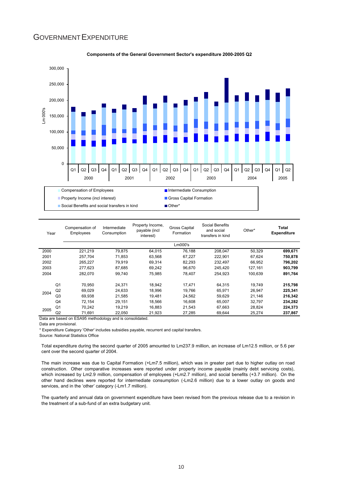### GOVERNMENT EXPENDITURE



#### **Components of the General Government Sector's expenditure 2000-2005 Q2**

| Year          |                | Compensation of<br>Employees | Intermediate<br>Consumption | Property Income,<br>payable (incl<br>interest) | <b>Gross Capital</b><br>Formation | Social Benefits<br>and social<br>transfers in kind | Other*  | Total<br><b>Expenditure</b> |
|---------------|----------------|------------------------------|-----------------------------|------------------------------------------------|-----------------------------------|----------------------------------------------------|---------|-----------------------------|
|               |                |                              |                             |                                                | Lm000's                           |                                                    |         |                             |
| 2000          |                | 221,219                      | 79,875                      | 64,015                                         | 76,188                            | 208,047                                            | 50,329  | 699,671                     |
| 2001          |                | 257,704                      | 71.853                      | 63,568                                         | 67,227                            | 222.901                                            | 67.624  | 750,878                     |
| 2002          |                | 265.227                      | 79.919                      | 69.314                                         | 82.293                            | 232.497                                            | 66.952  | 796,202                     |
| 2003          |                | 277.623                      | 87.685                      | 69.242                                         | 96.670                            | 245.420                                            | 127.161 | 903,799                     |
| 2004          |                | 282.070                      | 99,740                      | 75,985                                         | 78,407                            | 254,923                                            | 100,639 | 891,764                     |
|               | Q <sub>1</sub> | 70.950                       | 24.371                      | 18.942                                         | 17.471                            | 64.315                                             | 19.749  | 215,798                     |
|               | Q <sub>2</sub> | 69,029                       | 24.633                      | 18.996                                         | 19.766                            | 65,971                                             | 26.947  | 225,341                     |
| 2004          | Q3             | 69.938                       | 21.585                      | 19.481                                         | 24.562                            | 59,629                                             | 21.146  | 216,342                     |
|               | Q4             | 72.154                       | 29.151                      | 18.566                                         | 16.608                            | 65.007                                             | 32.797  | 234,282                     |
| 2005          | Q <sub>1</sub> | 70.242                       | 19.219                      | 16.883                                         | 21.543                            | 67,663                                             | 28.824  | 224,373                     |
|               | Q <sub>2</sub> | 71.691                       | 22,050                      | 21,923                                         | 27,285                            | 69,644                                             | 25,274  | 237,867                     |
| $\sim$ $\sim$ |                |                              |                             | $\cdots$                                       |                                   |                                                    |         |                             |

Data are based on ESA95 methodology and is consolidated.

Data are provisional.

\* Expenditure Category 'Other' includes subsidies payable, recurrent and capital transfers.

Source: National Statistics Office

Total expenditure during the second quarter of 2005 amounted to Lm237.9 million, an increase of Lm12.5 million, or 5.6 per cent over the second quarter of 2004.

The main increase was due to Capital Formation (+Lm7.5 million), which was in greater part due to higher outlay on road construction. Other comparative increases were reported under property income payable (mainly debt servicing costs), which increased by Lm2.9 million, compensation of employees (+Lm2.7 million), and social benefits (+3.7 million). On the other hand declines were reported for intermediate consumption (-Lm2.6 million) due to a lower outlay on goods and services, and in the 'other' category (-Lm1.7 million).

The quarterly and annual data on government expenditure have been revised from the previous release due to a revision in the treatment of a sub-fund of an extra budgetary unit.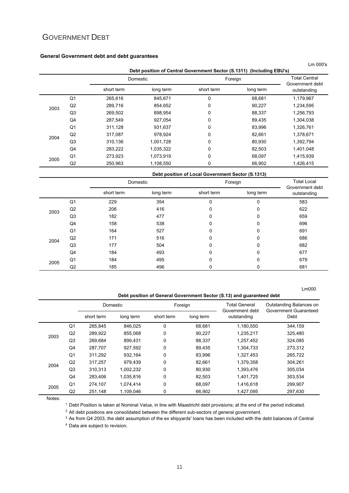### GOVERNMENT DEBT

#### **General Government debt and debt guarantees**

|      |                |            |           |                                                                       |           | Lm 000's                       |
|------|----------------|------------|-----------|-----------------------------------------------------------------------|-----------|--------------------------------|
|      |                |            |           | Debt position of Central Government Sector (S.1311) (Including EBU's) |           |                                |
|      |                |            | Domestic  | Foreign                                                               |           | <b>Total Central</b>           |
|      |                | short term | long term | short term                                                            | long term | Government debt<br>outstanding |
|      | Q <sub>1</sub> | 265,616    | 845.671   | 0                                                                     | 68.681    | 1.179.967                      |
| 2003 | Q2             | 289,716    | 854,652   | 0                                                                     | 90,227    | 1,234,595                      |
|      | Q <sub>3</sub> | 269,502    | 898.954   | 0                                                                     | 88,337    | 1,256,793                      |
|      | Q4             | 287,549    | 927,054   | 0                                                                     | 89.435    | 1,304,038                      |
|      | Q1             | 311,128    | 931,637   | 0                                                                     | 83,996    | 1,326,761                      |
| 2004 | Q2             | 317,087    | 978,924   | 0                                                                     | 82,661    | 1,378,671                      |
|      | Q <sub>3</sub> | 310,136    | 1,001,728 | 0                                                                     | 80,930    | 1,392,794                      |
|      | Q4             | 283,222    | 1,035,322 | 0                                                                     | 82,503    | 1,401,048                      |
| 2005 | Q <sub>1</sub> | 273,923    | 1,073,919 | 0                                                                     | 68,097    | 1,415,939                      |
|      | Q2             | 250,963    | 1,108,550 | 0                                                                     | 66,902    | 1,426,415                      |

**Debt position of Local Government Sector (S.1313)**

|      |                |            | Domestic  |            | Foreign      | <b>Total Local</b><br>Government debt |
|------|----------------|------------|-----------|------------|--------------|---------------------------------------|
|      |                | short term | long term | short term | long term    | outstanding                           |
|      | Q <sub>1</sub> | 229        | 354       | 0          | $\mathbf{0}$ | 583                                   |
| 2003 | Q2             | 206        | 416       | 0          | $\mathbf{0}$ | 622                                   |
|      | Q <sub>3</sub> | 182        | 477       | 0          | $\mathbf{0}$ | 659                                   |
|      | Q4             | 158        | 538       | 0          | $\mathbf{0}$ | 696                                   |
|      | Q <sub>1</sub> | 164        | 527       | 0          | $\mathbf{0}$ | 691                                   |
| 2004 | Q2             | 171        | 516       | 0          | $\mathbf{0}$ | 686                                   |
|      | Q <sub>3</sub> | 177        | 504       | 0          | 0            | 682                                   |
|      | Q4             | 184        | 493       | 0          | 0            | 677                                   |
| 2005 | Q <sub>1</sub> | 184        | 495       | 0          | $\Omega$     | 679                                   |
|      | Q2             | 185        | 496       | 0          | 0            | 681                                   |

#### **Debt position of General Government Sector (S.13) and guaranteed debt**

Lm000

|      |                | Domestic   |           |             | Foreign   | <b>Total General</b><br>Government debt | Outstanding Balances on<br>Government Guaranteed |  |
|------|----------------|------------|-----------|-------------|-----------|-----------------------------------------|--------------------------------------------------|--|
|      |                | short term | long term | short term  | long term | outstanding                             | Debt                                             |  |
|      | Q <sub>1</sub> | 265,845    | 846,025   | 0           | 68,681    | 1,180,550                               | 344,159                                          |  |
| 2003 | Q2             | 289,922    | 855,068   | 0           | 90.227    | 1,235,217                               | 325,480                                          |  |
|      | Q3             | 269.684    | 899.431   | 0           | 88,337    | 1,257,452                               | 324,085                                          |  |
|      | Q4             | 287,707    | 927,592   | 0           | 89,435    | 1,304,733                               | 273,312                                          |  |
|      | Q <sub>1</sub> | 311,292    | 932,164   | 0           | 83,996    | 1,327,453                               | 265,722                                          |  |
| 2004 | Q2             | 317,257    | 979.439   | $\Omega$    | 82.661    | 1,379,358                               | 304,261                                          |  |
|      | Q3             | 310,313    | 1,002,232 | 0           | 80,930    | 1,393,476                               | 305,034                                          |  |
|      | Q4             | 283,406    | 1,035,816 | 0           | 82,503    | 1,401,725                               | 303,534                                          |  |
| 2005 | Q <sub>1</sub> | 274,107    | 1,074,414 | $\mathbf 0$ | 68,097    | 1,416,618                               | 299,907                                          |  |
|      | Q2             | 251,148    | 1,109,046 | 0           | 66,902    | 1,427,095                               | 297,630                                          |  |

Notes:

1 Debt Position is taken at Nominal Value, in line with Maastricht debt provisions; at the end of the period indicated.

 $2$  All debt positions are consolidated between the different sub-sectors of general government.

3 As from Q4 2003, the debt assumption of the ex shipyards' loans has been included with the debt balances of Central

<sup>4</sup> Data are subject to revision.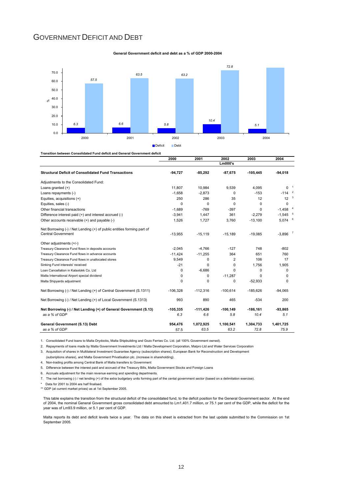### GOVERNMENT DEFICIT AND DEBT





**Transition between Consolidated Fund deficit and General Government deficit**

|                                                                                                     | 2000       | 2001       | 2002       | 2003       | 2004                  |  |
|-----------------------------------------------------------------------------------------------------|------------|------------|------------|------------|-----------------------|--|
|                                                                                                     |            |            | Lm000's    |            |                       |  |
| <b>Structural Deficit of Consolidated Fund Transactions</b>                                         | $-94,727$  | $-85,292$  | $-87,675$  | $-105.445$ | $-94,018$             |  |
| Adjustments to the Consolidated Fund:                                                               |            |            |            |            |                       |  |
| Loans granted (+)                                                                                   | 11.807     | 10.984     | 9,539      | 4.095      | $0-1$                 |  |
| Loans repayments (-)                                                                                | $-1.658$   | $-2.873$   | 0          | $-153$     | $-114$ $2$            |  |
| Equities, acquisitions (+)                                                                          | 250        | 286        | 35         | 12         | $12^{3}$              |  |
| Equities, sales (-)                                                                                 | $\Omega$   | $\Omega$   | 0          | $\Omega$   | 0                     |  |
| Other financial transactions                                                                        | $-1,689$   | $-769$     | $-397$     | $\Omega$   | $-1,458$ <sup>4</sup> |  |
| Difference interest paid (+) and interest accrued (-)                                               | $-3,941$   | 1,447      | 361        | $-2,279$   | $-1,545$ <sup>5</sup> |  |
| Other accounts receivable (+) and payable (-)                                                       | 1,526      | 1.727      | 3.760      | $-13,100$  | $5,074$ $6$           |  |
| Net Borrowing (-) / Net Lending (+) of public entities forming part of<br><b>Central Government</b> | $-13,955$  | $-15.119$  | $-15.189$  | $-19.085$  | $-3.896$              |  |
| Other adjustments (+/-)                                                                             |            |            |            |            |                       |  |
| Treasury Clearance Fund flows in deposits accounts                                                  | $-2,045$   | $-4.766$   | $-127$     | 748        | $-802$                |  |
| Treasury Clearance Fund flows in advance accounts                                                   | $-11.424$  | $-11.255$  | 364        | 651        | 760                   |  |
| Treasury Clearance Fund flows in unallocated stores                                                 | 9.549      | 0          | 2          | 106        | 17                    |  |
| Sinking Fund interests' received                                                                    | $-21$      | $\Omega$   | 0          | 1.756      | 1,905                 |  |
| Loan Cancellation in Kalaxlokk Co. Ltd                                                              | $\Omega$   | $-6,686$   | 0          | $\Omega$   | $\Omega$              |  |
| Malta International Airport special dividend                                                        | 0          | 0          | $-11,287$  | $\Omega$   | $\Omega$              |  |
| Malta Shipyards adjustment                                                                          | $\Omega$   | $\Omega$   | 0          | $-52,933$  | $\Omega$              |  |
| Net Borrowing (-) / Net Lending (+) of Central Government (S.1311)                                  | $-106,328$ | $-112,316$ | $-100,614$ | $-185,626$ | $-94,065$             |  |
| Net Borrowing (-) / Net Lending (+) of Local Government (S.1313)                                    | 993        | 890        | 465        | $-534$     | 200                   |  |
| Net Borrowing (-) / Net Lending (+) of General Government (S.13)                                    | $-105.335$ | $-111.426$ | $-100.149$ | $-186.161$ | $-93.865$             |  |
| as a % of GDP                                                                                       | 6.3        | 6.6        | 5.8        | 10.4       | 5.1                   |  |
| General Government (S.13) Debt                                                                      | 954,476    | 1,072,925  | 1,100,541  | 1,304,733  | 1,401,725             |  |
| as a % of GDP                                                                                       | 57.5       | 63.5       | 63.2       | 72.8       | 75.9                  |  |

1. Consolidated Fund loans to Malta Drydocks, Malta Shipbuilding and Gozo Ferries Co. Ltd. (all 100% Government owned).

2. Repayments of loans made by Malta Government Investments Ltd / Malta Development Corporation, Malpro Ltd and Water Services Corporation

3. Acquisition of shares in Multilateral Investment Guarantee Agency (subscription shares), European Bank for Reconstruction and Development

(subsriptions shares), and Malta Government Privatisation plc. (increase in shareholding).

4. Non-trading profits among Central Bank of Malta transfers to Government

5. Difference between the interest paid and accrued of the Treasury Bills, Malta Government Stocks and Foreign Loans

6. Accruals adjustment for the main revenue earning and spending departments.

7. The net borrowing (-) / net lending (+) of the extra budgetary units forming part of the cental government sector (based on a delimitation exercise).

\* Data for 2001 to 2004 are half finalised.

\*\* GDP (at current market prices) as at 1st September 2005.

This table explains the transition from the structural deficit of the consolidated fund, to the deficit position for the General Government sector. At the end of 2004, the nominal General Government gross consolidated debt amounted to Lm1,401.7 million, or 75.1 per cent of the GDP, while the deficit for the year was of Lm93.9 million, or 5.1 per cent of GDP.

Malta reports its debt and deficit levels twice a year. The data on this sheet is extracted from the last update submitted to the Commission on 1st September 2005.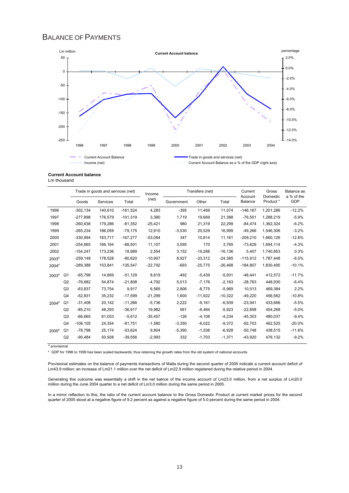### BALANCE OF PAYMENTS



#### **Current Account balance**

Lm thousand

|                   |                |             | Trade in goods and services (net) |            | Income    |            | Transfers (net) |            | Current            | Gross                 | Balance as        |
|-------------------|----------------|-------------|-----------------------------------|------------|-----------|------------|-----------------|------------|--------------------|-----------------------|-------------------|
|                   |                | Goods       | Services                          | Total      | (net)     | Government | Other           | Total      | Account<br>Balance | Domestic<br>Product * | a % of the<br>GDP |
| 1996              |                | $-302,134$  | 140.610                           | $-161,524$ | 4,283     | $-395$     | 11,469          | 11.074     | $-146, 167$        | 1,201,286             | $-12.2%$          |
| 1997              |                | $-277.898$  | 176.579                           | $-101.319$ | 3,380     | 1.719      | 19.669          | 21.388     | $-76.551$          | 1,288,219             | $-5.9%$           |
| 1998              |                | $-260,638$  | 179,286                           | $-81,352$  | $-25,421$ | 980        | 21,319          | 22,299     | $-84,474$          | 1,362,324             | $-6.2%$           |
| 1999              |                | $-265,234$  | 186,059                           | $-79,175$  | 12,910    | $-3,530$   | 20,529          | 16,999     | $-49,266$          | 1,546,306             | $-3.2%$           |
| 2000              |                | -330.994    | 163.717                           | $-167.277$ | $-53,094$ | 347        | 10.814          | 11.161     | $-209.210$         | 1,660,126             | $-12.6%$          |
| 2001              |                | $-254,665$  | 166,164                           | $-88,501$  | 11,107    | 3,595      | 170             | 3,765      | -73,629            | 1,694,114             | $-4.3%$           |
| 2002              |                | $-154,247$  | 173.236                           | 18.989     | 2,554     | 3,152      | $-19.288$       | $-16, 136$ | 5.407              | 1.740.853             | 0.3%              |
| 2003 <sup>p</sup> |                | $-259,148$  | 178,528                           | $-80.620$  | $-10,907$ | 8.927      | $-33,312$       | $-24,385$  | $-115,912$         | 1,787,448             | $-6.5%$           |
| 2004 <sup>p</sup> |                | -289,388    | 153,841                           | $-135,547$ | $-22,792$ | $-693$     | $-25,775$       | $-26,468$  | $-184,807$         | 1,830,495             | $-10.1%$          |
| 2003 <sup>p</sup> | Q1             | $-65,798$   | 14,669                            | $-51,129$  | 8,619     | $-492$     | $-5,439$        | $-5,931$   | $-48,441$          | 412,572               | $-11.7%$          |
|                   | Q2             | $-76.682$   | 54.874                            | $-21.808$  | $-4,792$  | 5.013      | $-7,176$        | $-2,163$   | $-28.763$          | 448,930               | $-6.4%$           |
|                   | Q3             | $-63,837$   | 73,754                            | 9,917      | 6,565     | 2,806      | $-8,775$        | $-5,969$   | 10.513             | 469,384               | 2.2%              |
|                   | Q4             | $-52,831$   | 35.232                            | $-17.599$  | $-21,299$ | 1.600      | $-11,922$       | $-10,322$  | $-49,220$          | 456.562               | $-10.8%$          |
| 2004 <sup>p</sup> | Q <sub>1</sub> | $-31,408$   | 20,142                            | $-11.266$  | $-5.736$  | 2.222      | $-9,161$        | $-6.939$   | $-23.941$          | 433.666               | $-5.5%$           |
|                   | Q2             | $-85,210$   | 48,293                            | $-36,917$  | 19,982    | 561        | $-6,484$        | $-5,923$   | $-22,858$          | 454,268               | $-5.0%$           |
|                   | Q3             | $-66.665$   | 61,053                            | $-5.612$   | $-35,457$ | $-126$     | $-4,108$        | $-4.234$   | $-45.303$          | 480.037               | $-9.4%$           |
|                   | Q4             | $-106, 105$ | 24,354                            | $-81,751$  | $-1,580$  | $-3,350$   | $-6,022$        | $-9,372$   | $-92,703$          | 462,525               | $-20.0%$          |
| $2005^{\circ}$    | Q1             | $-78,798$   | 25,174                            | $-53,624$  | 9,804     | $-5,390$   | $-1,538$        | $-6,928$   | $-50,748$          | 438,515               | $-11.6%$          |
|                   | Q2             | $-90,484$   | 50.928                            | $-39.556$  | $-2.993$  | 332        | $-1.703$        | $-1.371$   | $-43.920$          | 476,132               | $-9.2%$           |

<sup>p</sup> provisional

\* GDP for 1996 to 1999 has been scaled backwards; thus retaining the growth rates from the old system of national accounts.

Provisional estimates on the balance of payments transactions of Malta during the second quarter of 2005 indicate a current account deficit of Lm43.9 million; an increase of Lm21.1 million over the net deficit of Lm22.9 million registered during the relative period in 2004.

Generating this outcome was essentially a shift in the net balnce of the income account of Lm23.0 million, from a net surplus of Lm20.0 million during the June 2004 quarter to a net deficit of Lm3.0 million during the same period in 2005.

In a mirror reflection to this, the ratio of the current account balance to the Gross Domestic Product at current market prices for the second quarter of 2005 stood at a negative figure of 9.2 percent as against a negative figure of 5.0 percent during the same period in 2004.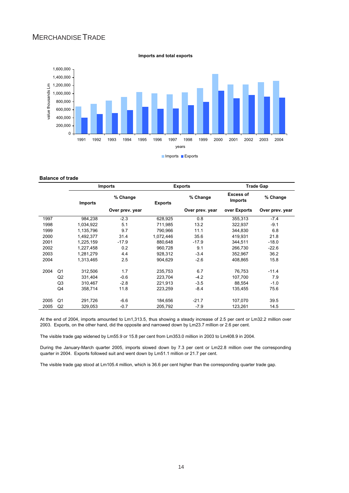### MERCHANDISETRADE



#### **Imports and total exports**

#### **Balance of trade**

|      |                | <b>Imports</b> |                            |           | <b>Exports</b>  | <b>Trade Gap</b>                   |                 |  |
|------|----------------|----------------|----------------------------|-----------|-----------------|------------------------------------|-----------------|--|
|      |                | <b>Imports</b> | % Change<br><b>Exports</b> |           | % Change        | <b>Excess of</b><br><b>Imports</b> | % Change        |  |
|      |                |                | Over prev. year            |           | Over prev. year | over Exports                       | Over prev. year |  |
| 1997 |                | 984,238        | $-2.3$                     | 628,925   | 0.8             | 355,313                            | $-7.4$          |  |
| 1998 |                | 1,034,922      | 5.1                        | 711,985   | 13.2            | 322,937                            | $-9.1$          |  |
| 1999 |                | 1,135,796      | 9.7                        | 790.966   | 11.1            | 344.830                            | 6.8             |  |
| 2000 |                | 1,492,377      | 31.4                       | 1,072,446 | 35.6            | 419,931                            | 21.8            |  |
| 2001 |                | 1,225,159      | $-17.9$                    | 880,648   | $-17.9$         | 344,511                            | $-18.0$         |  |
| 2002 |                | 1,227,458      | 0.2                        | 960.728   | 9.1             | 266.730                            | $-22.6$         |  |
| 2003 |                | 1,281,279      | 4.4                        | 928.312   | $-3.4$          | 352,967                            | 36.2            |  |
| 2004 |                | 1,313,465      | 2.5                        | 904,629   | $-2.6$          | 408,865                            | 15.8            |  |
| 2004 | Q <sub>1</sub> | 312,506        | 1.7                        | 235,753   | 6.7             | 76,753                             | $-11.4$         |  |
|      | Q2             | 331,404        | $-0.6$                     | 223,704   | $-4.2$          | 107,700                            | 7.9             |  |
|      | Q <sub>3</sub> | 310,467        | $-2.8$                     | 221,913   | $-3.5$          | 88,554                             | $-1.0$          |  |
|      | Q4             | 358,714        | 11.8                       | 223,259   | -8.4            | 135,455                            | 75.6            |  |
| 2005 | Q1             | 291,726        | $-6.6$                     | 184,656   | $-21.7$         | 107,070                            | 39.5            |  |
| 2005 | Q2             | 329,053        | $-0.7$                     | 205,792   | -7.9            | 123,261                            | 14.5            |  |

At the end of 2004, imports amounted to Lm1,313.5, thus showing a steady increase of 2.5 per cent or Lm32.2 million over 2003. Exports, on the other hand, did the opposite and narrowed down by Lm23.7 million or 2.6 per cent.

The visible trade gap widened by Lm55.9 or 15.8 per cent from Lm353.0 million in 2003 to Lm408.9 in 2004.

During the January-March quarter 2005, imports slowed down by 7.3 per cent or Lm22.8 million over the corresponding quarter in 2004. Exports followed suit and went down by Lm51.1 million or 21.7 per cent.

The visible trade gap stood at Lm105.4 million, which is 36.6 per cent higher than the corresponding quarter trade gap.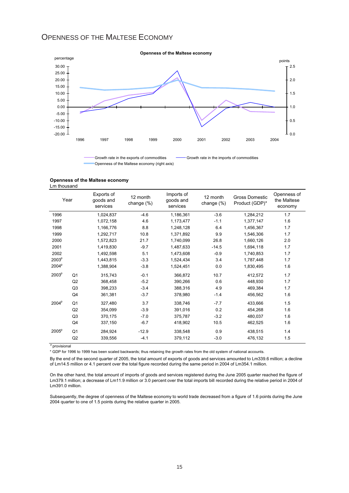### OPENNESS OF THE MALTESE ECONOMY



Openness of the Maltese economy (right axis)

#### **Openness of the Maltese economy**

Lm thousand

|                   | Year           | Exports of<br>goods and<br>services | 12 month<br>change (%) | Imports of<br>goods and<br>services | 12 month<br>change $(\%)$ | <b>Gross Domestic</b><br>Product (GDP)* | Openness of<br>the Maltese<br>economy |
|-------------------|----------------|-------------------------------------|------------------------|-------------------------------------|---------------------------|-----------------------------------------|---------------------------------------|
| 1996              |                | 1,024,837                           | $-4.6$                 | 1,186,361                           | $-3.6$                    | 1,284,212                               | 1.7                                   |
| 1997              |                | 1,072,158                           | 4.6                    | 1,173,477                           | $-1.1$                    | 1,377,147                               | 1.6                                   |
| 1998              |                | 1,166,776                           | 8.8                    | 1,248,128                           | 6.4                       | 1,456,367                               | 1.7                                   |
| 1999              |                | 1.292.717                           | 10.8                   | 1.371.892                           | 9.9                       | 1.546.306                               | 1.7                                   |
| 2000              |                | 1,572,823                           | 21.7                   | 1,740,099                           | 26.8                      | 1,660,126                               | 2.0                                   |
| 2001              |                | 1,419,830                           | $-9.7$                 | 1,487,633                           | $-14.5$                   | 1,694,118                               | 1.7                                   |
| 2002              |                | 1,492,598                           | 5.1                    | 1,473,608                           | $-0.9$                    | 1,740,853                               | 1.7                                   |
| 2003 <sup>p</sup> |                | 1,443,815                           | $-3.3$                 | 1,524,434                           | 3.4                       | 1,787,448                               | 1.7                                   |
| 2004 <sup>p</sup> |                | 1,388,904                           | $-3.8$                 | 1,524,451                           | 0.0                       | 1,830,495                               | 1.6                                   |
| 2003 <sup>p</sup> | Q <sub>1</sub> | 315,743                             | $-0.1$                 | 366,872                             | 10.7                      | 412,572                                 | 1.7                                   |
|                   | Q2             | 368.458                             | $-5.2$                 | 390,266                             | 0.6                       | 448.930                                 | 1.7                                   |
|                   | Q <sub>3</sub> | 398,233                             | $-3.4$                 | 388.316                             | 4.9                       | 469,384                                 | 1.7                                   |
|                   | Q <sub>4</sub> | 361,381                             | $-3.7$                 | 378,980                             | $-1.4$                    | 456,562                                 | 1.6                                   |
| 2004 <sup>p</sup> | Q <sub>1</sub> | 327,480                             | 3.7                    | 338,746                             | $-7.7$                    | 433,666                                 | 1.5                                   |
|                   | Q2             | 354,099                             | $-3.9$                 | 391,016                             | 0.2                       | 454,268                                 | 1.6                                   |
|                   | Q <sub>3</sub> | 370,175                             | $-7.0$                 | 375,787                             | $-3.2$                    | 480,037                                 | 1.6                                   |
|                   | Q4             | 337.150                             | $-6.7$                 | 418.902                             | 10.5                      | 462,525                                 | 1.6                                   |
| 2005 <sup>p</sup> | O <sub>1</sub> | 284.924                             | $-12.9$                | 338,548                             | 0.9                       | 438.515                                 | 1.4                                   |
|                   | Q2             | 339,556                             | $-4.1$                 | 379,112                             | $-3.0$                    | 476,132                                 | 1.5                                   |

<sup>p</sup> provisional

\* GDP for 1996 to 1999 has been scaled backwards; thus retaining the growth rates from the old system of national accounts.

By the end of the second quarter of 2005, the total amount of exports of goods and services amounted to Lm339.6 million; a decline of Lm14.5 million or 4.1 percent over the total figure recorded during the same period in 2004 of Lm354.1 million.

On the other hand, the total amount of imports of goods and services registered during the June 2005 quarter reached the figure of Lm379.1 million; a decrease of Lm11.9 million or 3.0 percent over the total imports bill recorded during the relative period in 2004 of Lm391.0 million.

Subsequently, the degree of openness of the Maltese economy to world trade decreased from a figure of 1.6 points during the June 2004 quarter to one of 1.5 points during the relative quarter in 2005.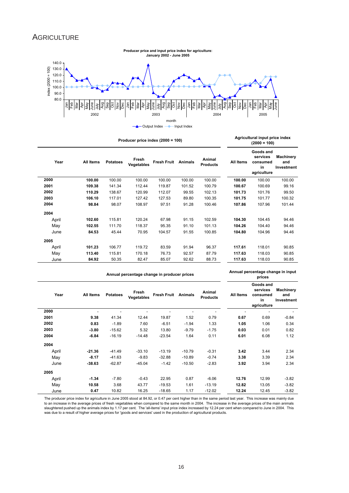### **AGRICULTURE**



|       |                  |                 | Producer price index (2000 = 100) |                    |                |                           | Agricultural input price index<br>$(2000 = 100)$ |                                                        |                                |  |
|-------|------------------|-----------------|-----------------------------------|--------------------|----------------|---------------------------|--------------------------------------------------|--------------------------------------------------------|--------------------------------|--|
| Year  | <b>All Items</b> | <b>Potatoes</b> | Fresh<br><b>Vegetables</b>        | <b>Fresh Fruit</b> | <b>Animals</b> | Animal<br><b>Products</b> | <b>All Items</b>                                 | Goods and<br>services<br>consumed<br>in<br>agriculture | Machinery<br>and<br>Investment |  |
| 2000  | 100.00           | 100.00          | 100.00                            | 100.00             | 100.00         | 100.00                    | 100.00                                           | 100.00                                                 | 100.00                         |  |
| 2001  | 109.38           | 141.34          | 112.44                            | 119.87             | 101.52         | 100.79                    | 100.67                                           | 100.69                                                 | 99.16                          |  |
| 2002  | 110.29           | 138.67          | 120.99                            | 112.07             | 99.55          | 102.13                    | 101.73                                           | 101.76                                                 | 99.50                          |  |
| 2003  | 106.10           | 117.01          | 127.42                            | 127.53             | 89.80          | 100.35                    | 101.75                                           | 101.77                                                 | 100.32                         |  |
| 2004  | 98.84            | 98.07           | 108.97                            | 97.51              | 91.28          | 100.46                    | 107.86                                           | 107.96                                                 | 101.44                         |  |
| 2004  |                  |                 |                                   |                    |                |                           |                                                  |                                                        |                                |  |
| April | 102.60           | 115.81          | 120.24                            | 67.98              | 91.15          | 102.59                    | 104.30                                           | 104.45                                                 | 94.46                          |  |
| May   | 102.55           | 111.70          | 118.37                            | 95.35              | 91.10          | 101.13                    | 104.26                                           | 104.40                                                 | 94.46                          |  |
| June  | 84.53            | 45.44           | 70.95                             | 104.57             | 91.55          | 100.85                    | 104.80                                           | 104.96                                                 | 94.46                          |  |
| 2005  |                  |                 |                                   |                    |                |                           |                                                  |                                                        |                                |  |
| April | 101.23           | 106.77          | 119.72                            | 83.59              | 91.94          | 96.37                     | 117.61                                           | 118.01                                                 | 90.85                          |  |
| May   | 113.40           | 115.81          | 170.18                            | 76.73              | 92.57          | 87.79                     | 117.63                                           | 118.03                                                 | 90.85                          |  |
| June  | 84.92            | 50.35           | 82.47                             | 85.07              | 92.62          | 88.73                     | 117.63                                           | 118.03                                                 | 90.85                          |  |

**Agricultural input price index** 

|       |           |                 | Annual percentage change in input<br>prices |                    |                |                           |           |                                                        |                                |
|-------|-----------|-----------------|---------------------------------------------|--------------------|----------------|---------------------------|-----------|--------------------------------------------------------|--------------------------------|
| Year  | All Items | <b>Potatoes</b> | Fresh<br><b>Vegetables</b>                  | <b>Fresh Fruit</b> | <b>Animals</b> | Animal<br><b>Products</b> | All Items | Goods and<br>services<br>consumed<br>in<br>agriculture | Machinery<br>and<br>Investment |
| 2000  |           |                 |                                             |                    |                |                           |           |                                                        |                                |
| 2001  | 9.38      | 41.34           | 12.44                                       | 19.87              | 1.52           | 0.79                      | 0.67      | 0.69                                                   | $-0.84$                        |
| 2002  | 0.83      | $-1.89$         | 7.60                                        | $-6.51$            | $-1.94$        | 1.33                      | 1.05      | 1.06                                                   | 0.34                           |
| 2003  | $-3.80$   | $-15.62$        | 5.32                                        | 13.80              | $-9.79$        | $-1.75$                   | 0.03      | 0.01                                                   | 0.82                           |
| 2004  | $-6.84$   | $-16.19$        | $-14.48$                                    | $-23.54$           | 1.64           | 0.11                      | 6.01      | 6.08                                                   | 1.12                           |
| 2004  |           |                 |                                             |                    |                |                           |           |                                                        |                                |
| April | $-21.36$  | $-41.49$        | $-33.10$                                    | $-13.19$           | $-10.79$       | $-0.31$                   | 3.42      | 3.44                                                   | 2.34                           |
| May   | $-8.17$   | $-41.63$        | $-9.83$                                     | $-32.88$           | $-10.89$       | $-0.74$                   | 3.38      | 3.39                                                   | 2.34                           |
| June  | $-38.63$  | $-62.87$        | $-45.04$                                    | $-1.42$            | $-10.50$       | $-2.83$                   | 3.92      | 3.94                                                   | 2.34                           |
| 2005  |           |                 |                                             |                    |                |                           |           |                                                        |                                |
| April | $-1.34$   | $-7.80$         | $-0.43$                                     | 22.95              | 0.87           | $-6.06$                   | 12.76     | 12.99                                                  | $-3.82$                        |
| May   | 10.58     | 3.68            | 43.77                                       | $-19.53$           | 1.61           | $-13.19$                  | 12.82     | 13.05                                                  | $-3.82$                        |
| June  | 0.47      | 10.82           | 16.25                                       | $-18.65$           | 1.17           | $-12.02$                  | 12.24     | 12.45                                                  | $-3.82$                        |

The producer price index for agriculture in June 2005 stood at 84.92, or 0.47 per cent higher than in the same period last year. This increase was mainly due to an increase in the average prices of fresh vegetables when compared to the same month in 2004. The increase in the average prices of the main animals<br>slaughtered pushed up the animals index by 1.17 per cent. The 'allwas due to a result of higher average prices for 'goods and services' used in the production of agricultural products.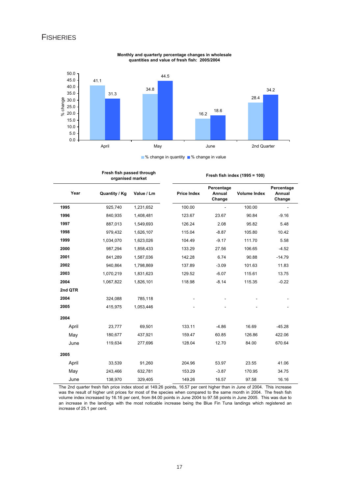

**Monthly and quarterly percentage changes in wholesale quantities and value of fresh fish: 2005/2004**

■ % change in quantity ■ % change in value

|         | Fresh fish passed through<br>organised market |            |                    |                                | Fresh fish index (1995 = 100) |                                |  |
|---------|-----------------------------------------------|------------|--------------------|--------------------------------|-------------------------------|--------------------------------|--|
| Year    | Quantity / Kg                                 | Value / Lm | <b>Price Index</b> | Percentage<br>Annual<br>Change | <b>Volume Index</b>           | Percentage<br>Annual<br>Change |  |
| 1995    | 925,740                                       | 1,231,652  | 100.00             |                                | 100.00                        |                                |  |
| 1996    | 840,935                                       | 1,408,481  | 123.67             | 23.67                          | 90.84                         | $-9.16$                        |  |
| 1997    | 887,013                                       | 1,549,693  | 126.24             | 2.08                           | 95.82                         | 5.48                           |  |
| 1998    | 979,432                                       | 1,626,107  | 115.04             | $-8.87$                        | 105.80                        | 10.42                          |  |
| 1999    | 1,034,070                                     | 1,623,026  | 104.49             | $-9.17$                        | 111.70                        | 5.58                           |  |
| 2000    | 987,294                                       | 1,858,433  | 133.29             | 27.56                          | 106.65                        | $-4.52$                        |  |
| 2001    | 841,289                                       | 1,587,036  | 142.28             | 6.74                           | 90.88                         | $-14.79$                       |  |
| 2002    | 940,864                                       | 1,798,869  | 137.89             | $-3.09$                        | 101.63                        | 11.83                          |  |
| 2003    | 1,070,219                                     | 1,831,623  | 129.52             | $-6.07$                        | 115.61                        | 13.75                          |  |
| 2004    | 1,067,822                                     | 1,826,101  | 118.98             | $-8.14$                        | 115.35                        | $-0.22$                        |  |
| 2nd QTR |                                               |            |                    |                                |                               |                                |  |
| 2004    | 324,088                                       | 785,118    |                    |                                |                               |                                |  |
| 2005    | 415,975                                       | 1,053,446  |                    |                                |                               |                                |  |
| 2004    |                                               |            |                    |                                |                               |                                |  |
| April   | 23,777                                        | 69,501     | 133.11             | $-4.86$                        | 16.69                         | $-45.28$                       |  |
| May     | 180,677                                       | 437,921    | 159.47             | 60.85                          | 126.86                        | 422.06                         |  |
| June    | 119,634                                       | 277,696    | 128.04             | 12.70                          | 84.00                         | 670.64                         |  |
| 2005    |                                               |            |                    |                                |                               |                                |  |
| April   | 33,539                                        | 91,260     | 204.96             | 53.97                          | 23.55                         | 41.06                          |  |
| May     | 243,466                                       | 632,781    | 153.29             | $-3.87$                        | 170.95                        | 34.75                          |  |
| June    | 138,970                                       | 329,405    | 149.26             | 16.57                          | 97.58                         | 16.16                          |  |

The 2nd quarter fresh fish price index stood at 149.26 points, 16.57 per cent higher than in June of 2004. This increase was the result of higher unit prices for most of the species when compared to the same month in 2004. The fresh fish volume index increased by 16.16 per cent, from 84.00 points in June 2004 to 97.58 points in June 2005. This was due to an increase in the landings with the most noticable increase being the Blue Fin Tuna landings which registered an increase of 25.1 per cent.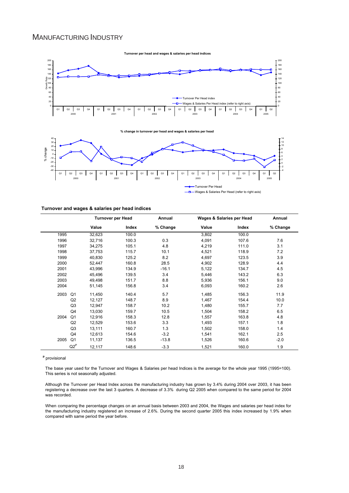### MANUFACTURING INDUSTRY



**% change in turnover per head and wages & salaries per head** 



J. Wages & Salaries Per Head (refer to right axis)

#### **Turnover and wages & salaries per head indices**

|      |                | <b>Turnover per Head</b> |       | Annual   |       | Wages & Salaries per Head | Annual   |
|------|----------------|--------------------------|-------|----------|-------|---------------------------|----------|
|      |                | Value                    | Index | % Change | Value | Index                     | % Change |
| 1995 |                | 32,623                   | 100.0 |          | 3,802 | 100.0                     |          |
| 1996 |                | 32,716                   | 100.3 | 0.3      | 4,091 | 107.6                     | 7.6      |
| 1997 |                | 34,275                   | 105.1 | 4.8      | 4,219 | 111.0                     | 3.1      |
| 1998 |                | 37,753                   | 115.7 | 10.1     | 4,521 | 118.9                     | 7.2      |
| 1999 |                | 40,830                   | 125.2 | 8.2      | 4,697 | 123.5                     | 3.9      |
| 2000 |                | 52,447                   | 160.8 | 28.5     | 4,902 | 128.9                     | 4.4      |
| 2001 |                | 43,996                   | 134.9 | $-16.1$  | 5,122 | 134.7                     | 4.5      |
| 2002 |                | 45,496                   | 139.5 | 3.4      | 5,446 | 143.2                     | 6.3      |
| 2003 |                | 49,498                   | 151.7 | 8.8      | 5,936 | 156.1                     | 9.0      |
| 2004 |                | 51,145                   | 156.8 | 3.4      | 6,093 | 160.2                     | 2.6      |
| 2003 | Q <sub>1</sub> | 11,450                   | 140.4 | 5.7      | 1,485 | 156.3                     | 11.9     |
|      | Q <sub>2</sub> | 12,127                   | 148.7 | 8.9      | 1,467 | 154.4                     | 10.0     |
|      | Q3             | 12,947                   | 158.7 | 10.2     | 1,480 | 155.7                     | 7.7      |
|      | Q4             | 13,030                   | 159.7 | 10.5     | 1,504 | 158.2                     | 6.5      |
| 2004 | Q <sub>1</sub> | 12,916                   | 158.3 | 12.8     | 1,557 | 163.8                     | 4.8      |
|      | Q2             | 12,529                   | 153.6 | 3.3      | 1,493 | 157.1                     | 1.8      |
|      | Q3             | 13,111                   | 160.7 | 1.3      | 1,502 | 158.0                     | 1.4      |
|      | Q4             | 12,613                   | 154.6 | $-3.2$   | 1,541 | 162.1                     | 2.5      |
| 2005 | Q <sub>1</sub> | 11,137                   | 136.5 | $-13.8$  | 1,526 | 160.6                     | $-2.0$   |
|      | $Q2^P$         | 12,117                   | 148.6 | $-3.3$   | 1,521 | 160.0                     | 1.9      |

**p** provisional

The base year used for the Turnover and Wages & Salaries per head Indices is the average for the whole year 1995 (1995=100). This series is not seasonally adjusted.

Although the Turnover per Head Index across the manufacturing industry has grown by 3.4% during 2004 over 2003, it has been registering a decrease over the last 3 quarters. A decrease of 3.3% during Q2 2005 when compared to the same period for 2004 was recorded.

When comparing the percentage changes on an annual basis between 2003 and 2004, the Wages and salaries per head index for the manufacturing industry registered an increase of 2.6%. During the second quarter 2005 this index increased by 1.9% when compared with same period the year before.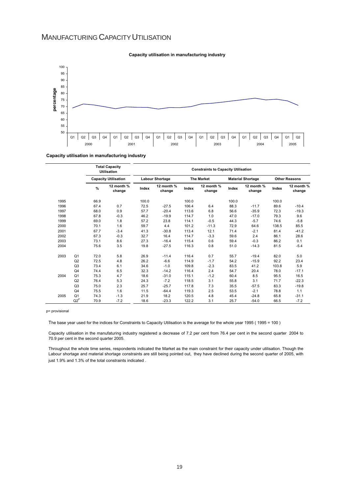### MANUFACTURING CAPACITY UTILISATION



#### **Capacity utilisation in manufacturing industry**

**Capacity utilisation in manufacturing industry**

|      |                |               | <b>Total Capacity</b><br><b>Utilisation</b> | <b>Constraints to Capacity Utilisation</b> |                        |                   |                      |                          |                      |                      |                      |
|------|----------------|---------------|---------------------------------------------|--------------------------------------------|------------------------|-------------------|----------------------|--------------------------|----------------------|----------------------|----------------------|
|      |                |               | <b>Capacity Utilisation</b>                 |                                            | <b>Labour Shortage</b> | <b>The Market</b> |                      | <b>Material Shortage</b> |                      | <b>Other Reasons</b> |                      |
|      |                | $\frac{9}{6}$ | 12 month %<br>change                        | Index                                      | 12 month %<br>change   | Index             | 12 month %<br>change | Index                    | 12 month %<br>change | Index                | 12 month %<br>change |
| 1995 |                | 66.9          |                                             | 100.0                                      |                        | 100.0             |                      | 100.0                    |                      | 100.0                |                      |
| 1996 |                | 67.4          | 0.7                                         | 72.5                                       | $-27.5$                | 106.4             | 6.4                  | 88.3                     | $-11.7$              | 89.6                 | $-10.4$              |
| 1997 |                | 68.0          | 0.9                                         | 57.7                                       | $-20.4$                | 113.6             | 6.8                  | 56.6                     | $-35.9$              | 72.3                 | $-19.3$              |
| 1998 |                | 67.8          | $-0.3$                                      | 46.2                                       | $-19.9$                | 114.7             | 1.0                  | 47.0                     | $-17.0$              | 79.3                 | 9.6                  |
| 1999 |                | 69.0          | 1.8                                         | 57.2                                       | 23.8                   | 114.1             | $-0.5$               | 44.3                     | $-5.7$               | 74.6                 | $-5.8$               |
| 2000 |                | 70.1          | 1.6                                         | 59.7                                       | 4.4                    | 101.2             | $-11.3$              | 72.9                     | 64.6                 | 138.5                | 85.5                 |
| 2001 |                | 67.7          | $-3.4$                                      | 41.3                                       | $-30.8$                | 113.4             | 12.1                 | 71.4                     | $-2.1$               | 81.4                 | $-41.2$              |
| 2002 |                | 67.3          | $-0.3$                                      | 32.7                                       | 16.4                   | 114.7             | $-3.3$               | 59.6                     | 2.4                  | 86.1                 | 28.6                 |
| 2003 |                | 73.1          | 8.6                                         | 27.3                                       | $-16.4$                | 115.4             | 0.6                  | 59.4                     | $-0.3$               | 86.2                 | 0.1                  |
| 2004 |                | 75.6          | 3.5                                         | 19.8                                       | $-27.5$                | 116.3             | 0.8                  | 51.0                     | $-14.3$              | 81.5                 | $-5.4$               |
| 2003 | Q <sub>1</sub> | 72.0          | 5.8                                         | 26.9                                       | $-11.4$                | 116.4             | 0.7                  | 55.7                     | $-19.4$              | 82.0                 | 5.0                  |
|      | Q2             | 72.5          | 4.8                                         | 26.2                                       | $-6.6$                 | 114.9             | $-1.7$               | 54.2                     | $-15.9$              | 92.2                 | 23.4                 |
|      | Q3             | 73.4          | 6.1                                         | 34.6                                       | $-1.0$                 | 109.8             | $-2.3$               | 83.5                     | 41.2                 | 103.8                | 5.9                  |
|      | Q4             | 74.4          | 6.5                                         | 32.3                                       | $-14.2$                | 116.4             | 2.4                  | 54.7                     | 20.4                 | 78.0                 | $-17.1$              |
| 2004 | Q <sub>1</sub> | 75.3          | 4.7                                         | 18.6                                       | $-31.0$                | 115.1             | $-1.2$               | 60.4                     | 8.5                  | 95.5                 | 16.5                 |
|      | Q2             | 76.4          | 5.3                                         | 24.3                                       | $-7.2$                 | 118.5             | 3.1                  | 55.8                     | 3.1                  | 71.7                 | $-22.3$              |
|      | Q <sub>3</sub> | 75.0          | 2.3                                         | 25.7                                       | $-25.7$                | 117.8             | 7.3                  | 35.5                     | $-57.5$              | 83.3                 | $-19.8$              |
|      | Q4             | 75.5          | 1.6                                         | 11.5                                       | $-64.4$                | 119.3             | 2.5                  | 53.5                     | $-2.1$               | 78.8                 | 1.1                  |
| 2005 | Q <sub>1</sub> | 74.3          | $-1.3$                                      | 21.9                                       | 18.2                   | 120.5             | 4.8                  | 45.4                     | $-24.8$              | 65.8                 | $-31.1$              |
|      | $Q2^P$         | 70.9          | $-7.2$                                      | 18.6                                       | $-23.3$                | 122.2             | 3.1                  | 25.7                     | $-54.0$              | 66.5                 | $-7.2$               |

p= provisional

The base year used for the indices for Constraints to Capacity Utilisation is the average for the whole year 1995 ( 1995 = 100 )

Capacity utilisation in the manufaturing industry registered a decrease of 7.2 per cent from 76.4 per cent in the second quarter 2004 to 70.9 per cent in the second quarter 2005.

Throughout the whole time series, respondents indicated the Market as the main constraint for their capacity under utilisation. Though the Labour shortage and material shortage constraints are still being pointed out, they have declined during the second quarter of 2005, with just 1.9% and 1.3% of the total constraints indicated.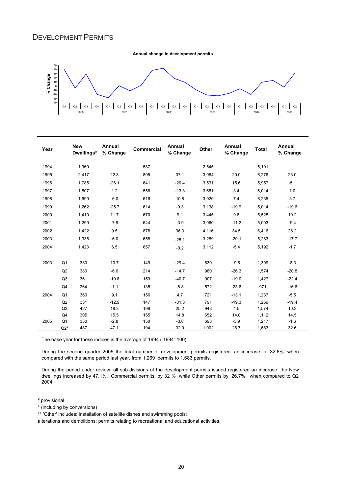### DEVELOPMENT PERMITS

**Annual change in development permits**



| Year |                | <b>New</b><br>Dwellings* | Annual<br>% Change | Commercial | Annual<br>% Change | <b>Other</b> | Annual<br>% Change | <b>Total</b> | Annual<br>% Change |
|------|----------------|--------------------------|--------------------|------------|--------------------|--------------|--------------------|--------------|--------------------|
| 1994 |                | 1,969                    |                    | 587        |                    | 2,545        |                    | 5,101        |                    |
| 1995 |                | 2,417                    | 22.8               | 805        | 37.1               | 3,054        | 20.0               | 6,276        | 23.0               |
| 1996 |                | 1.785                    | $-26.1$            | 641        | $-20.4$            | 3,531        | 15.6               | 5,957        | $-5.1$             |
| 1997 |                | 1,807                    | 1.2                | 556        | $-13.3$            | 3,651        | 3.4                | 6,014        | 1.0                |
| 1998 |                | 1,699                    | $-6.0$             | 616        | 10.8               | 3,920        | 7.4                | 6,235        | 3.7                |
| 1999 |                | 1,262                    | $-25.7$            | 614        | $-0.3$             | 3,138        | $-19.9$            | 5,014        | $-19.6$            |
| 2000 |                | 1,410                    | 11.7               | 670        | 9.1                | 3,445        | 9.8                | 5,525        | 10.2               |
| 2001 |                | 1,299                    | $-7.9$             | 644        | $-3.9$             | 3,060        | $-11.2$            | 5,003        | $-9.4$             |
| 2002 |                | 1,422                    | 9.5                | 878        | 36.3               | 4,116        | 34.5               | 6,416        | 28.2               |
| 2003 |                | 1,336                    | $-6.0$             | 658        | $-25.1$            | 3,289        | $-20.1$            | 5,283        | $-17.7$            |
| 2004 |                | 1,423                    | 6.5                | 657        | $-0.2$             | 3,112        | $-5.4$             | 5,192        | $-1.7$             |
| 2003 | Q <sub>1</sub> | 330                      | 10.7               | 149        | $-29.4$            | 830          | $-9.6$             | 1,309        | $-8.3$             |
|      | Q2             | 380                      | $-6.6$             | 214        | $-14.7$            | 980          | $-26.3$            | 1,574        | $-20.8$            |
|      | Q <sub>3</sub> | 361                      | $-19.8$            | 159        | $-40.7$            | 907          | $-19.0$            | 1,427        | $-22.4$            |
|      | Q4             | 264                      | $-1.1$             | 135        | $-8.8$             | 572          | $-23.6$            | 971          | $-16.6$            |
| 2004 | Q <sub>1</sub> | 360                      | 9.1                | 156        | 4.7                | 721          | $-13.1$            | 1.237        | $-5.5$             |
|      | Q2             | 331                      | $-12.9$            | 147        | $-31.3$            | 791          | $-19.3$            | 1,269        | $-19.4$            |
|      | Q <sub>3</sub> | 427                      | 18.3               | 199        | 25.2               | 948          | 4.5                | 1,574        | 10.3               |
|      | Q4             | 305                      | 15.5               | 155        | 14.8               | 652          | 14.0               | 1,112        | 14.5               |
| 2005 | Q <sub>1</sub> | 350                      | $-2.8$             | 150        | $-3.8$             | 693          | $-3.9$             | 1,217        | $-1.6$             |
|      | $Q2^p$         | 487                      | 47.1               | 194        | 32.0               | 1,002        | 26.7               | 1,683        | 32.6               |

The base year for these indices is the average of 1994 ( 1994=100)

During the second quarter 2005 the total number of development permits registered an increase of 32.6% when compared with the same period last year, from 1,269 permits to 1,683 permits.

During the period under review, all sub-divisions of the development permits issued registered an increase. the New dwellings increased by 47.1%, Commercial permits by 32 % while Other permits by 26.7%, when compared to Q2 2004.

**p** provisional

\* (including by conversions)

\*\* 'Other' includes: installation of satellite dishes and swimming pools;

alterations and demolitions; permits relating to recreational and educational activities.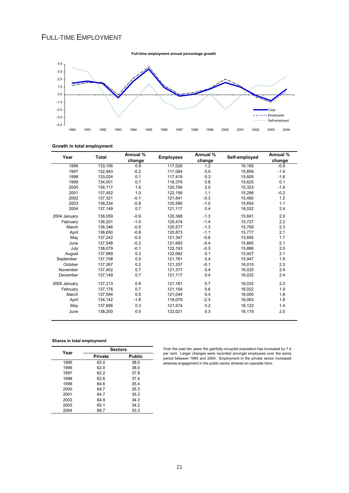### FULL-TIME EMPLOYMENT



#### **Growth in total employment**

| Year         | Total   | Annual % | <b>Employees</b> | Annual % | Self-employed | Annual % |
|--------------|---------|----------|------------------|----------|---------------|----------|
|              | change  |          | change           |          | change        |          |
| 1996         | 133,195 | 0.9      | 117,026          | 1.2      | 16,169        | $-0.9$   |
| 1997         | 132,943 | $-0.2$   | 117,084          | 0.0      | 15,859        | $-1.9$   |
| 1998         | 133,024 | 0.1      | 117,419          | 0.3      | 15,605        | $-1.6$   |
| 1999         | 134,001 | 0.7      | 118,376          | 0.8      | 15,625        | 0.1      |
| 2000         | 136,117 | 1.6      | 120,794          | 2.0      | 15,323        | $-1.9$   |
| 2001         | 137,452 | 1.0      | 122,156          | 1.1      | 15,296        | $-0.2$   |
| 2002         | 137,321 | $-0.1$   | 121,841          | $-0.3$   | 15,480        | 1.2      |
| 2003         | 136,234 | $-0.8$   | 120,580          | $-1.0$   | 15,654        | 1.1      |
| 2004         | 137,149 | 0.7      | 121,117          | 0.4      | 16,032        | 2.4      |
| 2004 January | 136,059 | $-0.9$   | 120,368          | $-1.3$   | 15,691        | 2.0      |
| February     | 136,201 | $-1.0$   | 120,474          | $-1.4$   | 15,727        | 2.2      |
| March        | 136,346 | $-0.9$   | 120,577          | $-1.3$   | 15,769        | 2.3      |
| April        | 136,650 | $-0.8$   | 120,873          | $-1.1$   | 15,777        | 2.1      |
| May          | 137,242 | $-0.5$   | 121,347          | $-0.8$   | 15,895        | 1.7      |
| June         | 137,548 | $-0.2$   | 121,683          | $-0.4$   | 15,865        | 2.1      |
| July         | 138,079 | $-0.1$   | 122,193          | $-0.3$   | 15,886        | 2.0      |
| August       | 137,989 | 0.3      | 122,062          | 0.1      | 15,927        | 2.1      |
| September    | 137,708 | 0.5      | 121,761          | 0.4      | 15,947        | 1.9      |
| October      | 137,267 | 0.2      | 121,257          | $-0.1$   | 16,010        | 2.3      |
| November     | 137,402 | 0.7      | 121,377          | 0.4      | 16,025        | 2.4      |
| December     | 137,149 | 0.7      | 121,117          | 0.4      | 16,032        | 2.4      |
| 2005 January | 137,213 | 0.8      | 121,181          | 0.7      | 16,032        | 2.2      |
| February     | 137,176 | 0.7      | 121,154          | 0.6      | 16,022        | 1.9      |
| March        | 137,094 | 0.5      | 121,044          | 0.4      | 16,050        | 1.8      |
| April        | 134,142 | $-1.8$   | 118,079          | $-2.3$   | 16,063        | 1.8      |
| May          | 137,696 | 0.3      | 121,574          | 0.2      | 16,122        | 1.4      |
| June         | 138,200 | 0.5      | 122,021          | 0.3      | 16,179        | 2.0      |

**Shares in total employment**

| Year | <b>Sectors</b> |               |  |  |  |  |
|------|----------------|---------------|--|--|--|--|
|      | Private        | <b>Public</b> |  |  |  |  |
| 1995 | 62.0           | 38.0          |  |  |  |  |
| 1996 | 62.0           | 38.0          |  |  |  |  |
| 1997 | 62.2           | 37.8          |  |  |  |  |
| 1998 | 62 G           | 37.4          |  |  |  |  |
| 1999 | 64.6           | 35.4          |  |  |  |  |
| 2000 | 64.7           | 35.3          |  |  |  |  |
| 2001 | 64.7           | 35.3          |  |  |  |  |
| 2002 | 64.9           | 34.3          |  |  |  |  |
| 2003 | 65.1           | 34.2          |  |  |  |  |
| 2004 | 66.7           | 33.3          |  |  |  |  |

Over the past ten years the gainfully occupied population has increased by 7.4 per cent. Larger changes were recorded amongst employees over the same period between 1995 and 2004. Employment in the private sector increased whereas engagement in the public sector showed an opposite trend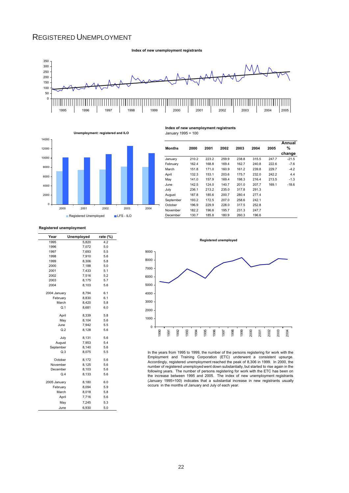### REGISTERED UNEMPLOYMENT

**Index of new unemployment registrants**





| Months    | 2000  | 2001  | 2002  | 2003  | 2004  | 2005  | Annual<br>% |
|-----------|-------|-------|-------|-------|-------|-------|-------------|
|           |       |       |       |       |       |       | change      |
| January   | 210.2 | 223.2 | 259.9 | 238.8 | 315.5 | 247.7 | $-21.5$     |
| February  | 162.4 | 168.8 | 169.4 | 162.7 | 240.8 | 222.6 | $-7.6$      |
| March     | 151.8 | 171.0 | 160.9 | 161.2 | 239.8 | 229.7 | $-4.2$      |
| April     | 132.3 | 153.1 | 203.6 | 175.7 | 232.0 | 242.2 | 4.4         |
| May       | 141.0 | 157.9 | 169.4 | 198.3 | 216.4 | 213.5 | $-1.3$      |
| June      | 142.5 | 124.0 | 140.7 | 201.0 | 207.7 | 169.1 | $-18.6$     |
| July      | 236.1 | 213.2 | 235.0 | 317.8 | 291.3 |       |             |
| August    | 187.8 | 185.6 | 200.7 | 280.4 | 277.4 |       |             |
| September | 193.2 | 172.5 | 207.0 | 258.6 | 242.1 |       |             |
| October   | 196.9 | 229.9 | 228.0 | 317.5 | 252.8 |       |             |
| November  | 182.2 | 196.6 | 195.7 | 231.3 | 247.7 |       |             |
| December  | 130.7 | 185.8 | 180.9 | 260.3 | 196.6 |       |             |
|           |       |       |       |       |       |       |             |

**Registered unemployment**

| Year         | <b>Unemployed</b> | rate (%) |
|--------------|-------------------|----------|
| 1995         | 5,820             | 4.2      |
| 1996         | 7,072             | 5.0      |
| 1997         | 7,693             | 5.5      |
| 1998         | 7,910             | 5.6      |
| 1999         | 8,306             | 5.8      |
| 2000         | 7,188             | 5.0      |
| 2001         | 7,433             | 5.1      |
| 2002         | 7,516             | 5.2      |
| 2003         | 8.175             | 5.7      |
| 2004         | 8,103             | 5.6      |
| 2004 January | 8,794             | 6.1      |
| February     | 8,830             | 6.1      |
| March        | 8,420             | 5.8      |
| Q.1          | 8,681             | 6.0      |
| April        | 8,339             | 5.8      |
| May          | 8,104             | 5.6      |
| June         | 7.942             | 5.5      |
| Q.2          | 8,128             | 5.6      |
| July         | 8,131             | 5.6      |
| August       | 7,953             | 5.4      |
| September    | 8,140             | 5.6      |
| Q.3          | 8,075             | 5.5      |
| October      | 8,172             | 5.6      |
| November     | 8,125             | 5.6      |
| December     | 8,103             | 5.6      |
| Q.4          | 8,133             | 5.6      |
| 2005 January | 8,180             | 6.0      |
| February     | 8,094             | 5.9      |
| March        | 8,018             | 5.8      |
| April        | 7,716             | 5.6      |
| May          | 7.245             | 5.3      |
| June         | 6,930             | 5.0      |



**Index of new unemployment registrants**

January 1995 = 100



In the years from 1995 to 1999, the number of the persons registering for work with the Employment and Training Corporation (ETC) underwent a consistent upsurge. Accordingly, registered unemployment reached the peak of 8,306 in 1999. In 2000, the number of registered unemployed went down substantially, but started to rise again in the following years. The number of persons registering for work with the ETC has been on the increase between 1995 and 2005. The index of new unemployment registrants (January 1995=100) indicates that a substantial increase in new registrants usually occurs in the months of January and July of each year.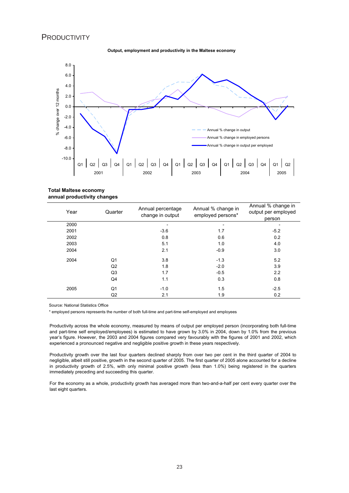#### **PRODUCTIVITY**





**Total Maltese economy annual productivity changes**

| Year | Quarter        | Annual percentage<br>change in output | Annual % change in<br>employed persons* | Annual % change in<br>output per employed<br>person |
|------|----------------|---------------------------------------|-----------------------------------------|-----------------------------------------------------|
| 2000 |                |                                       |                                         |                                                     |
| 2001 |                | $-3.6$                                | 1.7                                     | $-5.2$                                              |
| 2002 |                | 0.8                                   | 0.6                                     | 0.2                                                 |
| 2003 |                | 5.1                                   | 1.0                                     | 4.0                                                 |
| 2004 |                | 2.1                                   | $-0.9$                                  | 3.0                                                 |
| 2004 | Q1             | 3.8                                   | $-1.3$                                  | 5.2                                                 |
|      | Q <sub>2</sub> | 1.8                                   | $-2.0$                                  | 3.9                                                 |
|      | Q3             | 1.7                                   | $-0.5$                                  | 2.2                                                 |
|      | Q4             | 1.1                                   | 0.3                                     | 0.8                                                 |
| 2005 | Q1             | $-1.0$                                | 1.5                                     | $-2.5$                                              |
|      | Q <sub>2</sub> | 2.1                                   | 1.9                                     | 0.2                                                 |

Source: National Statistics Office

\* employed persons represents the number of both full-time and part-time self-employed and employees

Productivity across the whole economy, measured by means of output per employed person (incorporating both full-time and part-time self employed/employees) is estimated to have grown by 3.0% in 2004, down by 1.0% from the previous year's figure. However, the 2003 and 2004 figures compared very favourably with the figures of 2001 and 2002, which experienced a pronounced negative and negligible positive growth in these years respectively.

Productivity growth over the last four quarters declined sharply from over two per cent in the third quarter of 2004 to negligible, albeit still positive, growth in the second quarter of 2005. The first quarter of 2005 alone accounted for a decline in productivity growth of 2.5%, with only minimal positive growth (less than 1.0%) being registered in the quarters immediately preceding and succeeding this quarter.

For the economy as a whole, productivity growth has averaged more than two-and-a-half per cent every quarter over the last eight quarters.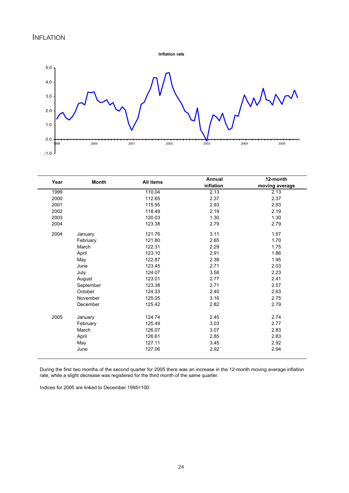**Inflation rate**



| Year | All items<br><b>Month</b> |        | Annual    | 12-month       |  |
|------|---------------------------|--------|-----------|----------------|--|
|      |                           |        | inflation | moving average |  |
| 1999 |                           | 110.04 | 2.13      | 2.13           |  |
| 2000 |                           | 112.65 | 2.37      | 2.37           |  |
| 2001 |                           | 115.95 | 2.93      | 2.93           |  |
| 2002 |                           | 118.49 | 2.19      | 2.19           |  |
| 2003 |                           | 120.03 | 1.30      | 1.30           |  |
| 2004 |                           | 123.38 | 2.79      | 2.79           |  |
| 2004 | January                   | 121.76 | 3.11      | 1.57           |  |
|      | February                  | 121.80 | 2.65      | 1.70           |  |
|      | March                     | 122.31 | 2.29      | 1.75           |  |
|      | April                     | 123.10 | 2.91      | 1.86           |  |
|      | May                       | 122.87 | 2.38      | 1.95           |  |
|      | June                      | 123.45 | 2.71      | 2.03           |  |
|      | July                      | 124.07 | 3.58      | 2.23           |  |
|      | August                    | 123.01 | 2.77      | 2.41           |  |
|      | September                 | 123.38 | 2.71      | 2.57           |  |
|      | October                   | 124.33 | 2.40      | 2.63           |  |
|      | November                  | 125.05 | 3.16      | 2.75           |  |
|      | December                  | 125.42 | 2.82      | 2.79           |  |
| 2005 | January                   | 124.74 | 2.45      | 2.74           |  |
|      | February                  | 125.49 | 3.03      | 2.77           |  |
|      | March                     | 126.07 | 3.07      | 2.83           |  |
|      | April                     | 126.61 | 2.85      | 2.83           |  |
|      | May                       | 127.11 | 3.45      | 2.92           |  |
|      | June                      | 127.06 | 2.92      | 2.94           |  |

During the first two months of the second quarter for 2005 there was an increase in the 12-month moving average inflation rate, while a slight decrease was registered for the third month of the same quarter.

Indices for 2005 are linked to December 1995=100.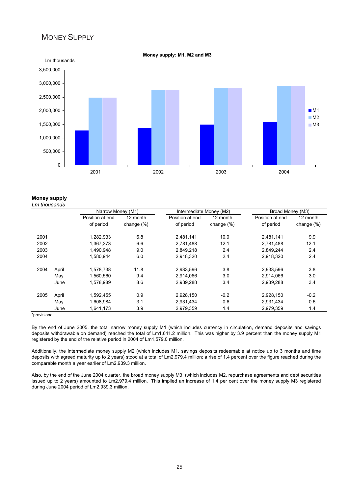#### MONEY SUPPLY



**Money supply: M1, M2 and M3**

#### **Money supply** *Lm thousands*

|      |       | Narrow Money (M1)            |                           | Intermediate Money (M2)      |                           | Broad Money (M3)             |                           |  |
|------|-------|------------------------------|---------------------------|------------------------------|---------------------------|------------------------------|---------------------------|--|
|      |       | Position at end<br>of period | 12 month<br>change $(\%)$ | Position at end<br>of period | 12 month<br>change $(\%)$ | Position at end<br>of period | 12 month<br>change $(\%)$ |  |
| 2001 |       | 1,282,933                    | 6.8                       | 2,481,141                    | 10.0                      | 2,481,141                    | 9.9                       |  |
| 2002 |       | 1,367,373                    | 6.6                       | 2,781,488                    | 12.1                      | 2.781.488                    | 12.1                      |  |
| 2003 |       | 1,490,948                    | 9.0                       | 2,849,218                    | 2.4                       | 2,849,244                    | 2.4                       |  |
| 2004 |       | 1,580,944                    | 6.0                       | 2,918,320                    | 2.4                       | 2,918,320                    | 2.4                       |  |
| 2004 | April | 1,578,738                    | 11.8                      | 2,933,596                    | 3.8                       | 2,933,596                    | 3.8                       |  |
|      | May   | 1,560,560                    | 9.4                       | 2,914,066                    | 3.0                       | 2,914,066                    | 3.0                       |  |
|      | June  | 1,578,989                    | 8.6                       | 2,939,288                    | 3.4                       | 2,939,288                    | 3.4                       |  |
| 2005 | April | 1,592,455                    | 0.9                       | 2,928,150                    | $-0.2$                    | 2,928,150                    | $-0.2$                    |  |
|      | May   | 1,608,984                    | 3.1                       | 2,931,434                    | 0.6                       | 2,931,434                    | 0.6                       |  |
|      | June  | 1,641,173                    | 3.9                       | 2.979.359                    | 1.4                       | 2,979,359                    | 1.4                       |  |

\*provisional

By the end of June 2005, the total narrow money supply M1 (which includes currency in circulation, demand deposits and savings deposits withdrawable on demand) reached the total of Lm1,641.2 million. This was higher by 3.9 percent than the money supply M1 registered by the end of the relative period in 2004 of Lm1,579.0 million.

Additionally, the intermediate money supply M2 (which includes M1, savings deposits redeemable at notice up to 3 months and time deposits with agreed maturity up to 2 years) stood at a total of Lm2,979.4 million; a rise of 1.4 percent over the figure reached during the comparable month a year earlier of Lm2,939.3 million.

Also, by the end of the June 2004 quarter, the broad money supply M3 (which includes M2, repurchase agreements and debt securities issued up to 2 years) amounted to Lm2,979.4 million. This implied an increase of 1.4 per cent over the money supply M3 registered during June 2004 period of Lm2,939.3 million.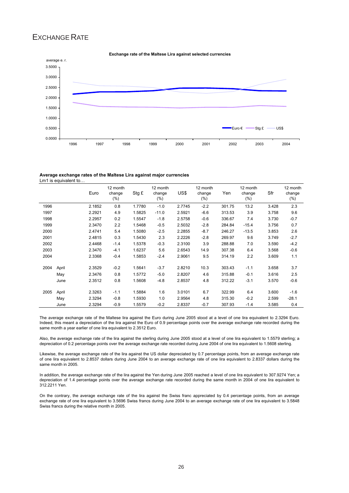### EXCHANGE RATE



#### **Exchange rate of the Maltese Lira against selected currencies**

**Average exchange rates of the Maltese Lira against major currencies** Lm1 is equivalent to…

|      |       | Euro   | 12 month<br>change<br>$(\%)$ | Stg £  | 12 month<br>change<br>$(\% )$ | US\$   | 12 month<br>change<br>$(\% )$ | Yen    | 12 month<br>change<br>$(\%)$ | Sfr   | 12 month<br>change<br>$(\% )$ |
|------|-------|--------|------------------------------|--------|-------------------------------|--------|-------------------------------|--------|------------------------------|-------|-------------------------------|
| 1996 |       | 2.1852 | 0.8                          | 1.7780 | $-1.0$                        | 2.7745 | $-2.2$                        | 301.75 | 13.2                         | 3.428 | 2.3                           |
| 1997 |       | 2.2921 | 4.9                          | 1.5825 | $-11.0$                       | 2.5921 | $-6.6$                        | 313.53 | 3.9                          | 3.758 | 9.6                           |
| 1998 |       | 2.2957 | 0.2                          | 1.5547 | $-1.8$                        | 2.5758 | $-0.6$                        | 336.67 | 7.4                          | 3.730 | $-0.7$                        |
| 1999 |       | 2.3470 | 2.2                          | 1.5468 | $-0.5$                        | 2.5032 | $-2.8$                        | 284.84 | $-15.4$                      | 3.756 | 0.7                           |
| 2000 |       | 2.4741 | 5.4                          | 1.5080 | $-2.5$                        | 2.2855 | $-8.7$                        | 246.27 | $-13.5$                      | 3.853 | 2.6                           |
| 2001 |       | 2.4815 | 0.3                          | 1.5430 | 2.3                           | 2.2226 | $-2.8$                        | 269.97 | 9.6                          | 3.749 | $-2.7$                        |
| 2002 |       | 2.4468 | $-1.4$                       | 1.5378 | $-0.3$                        | 2.3100 | 3.9                           | 288.88 | 7.0                          | 3.590 | $-4.2$                        |
| 2003 |       | 2.3470 | $-4.1$                       | 1.6237 | 5.6                           | 2.6543 | 14.9                          | 307.38 | 6.4                          | 3.568 | $-0.6$                        |
| 2004 |       | 2.3368 | $-0.4$                       | 1.5853 | $-2.4$                        | 2.9061 | 9.5                           | 314.19 | 2.2                          | 3.609 | 1.1                           |
| 2004 | April | 2.3529 | $-0.2$                       | 1.5641 | $-3.7$                        | 2.8210 | 10.3                          | 303.43 | $-1.1$                       | 3.658 | 3.7                           |
|      | May   | 2.3476 | 0.8                          | 1.5772 | $-5.0$                        | 2.8207 | 4.6                           | 315.88 | $-0.1$                       | 3.616 | 2.5                           |
|      | June  | 2.3512 | 0.8                          | 1.5608 | $-4.8$                        | 2.8537 | 4.8                           | 312.22 | $-3.1$                       | 3.570 | $-0.6$                        |
| 2005 | April | 2.3263 | $-1.1$                       | 1.5884 | 1.6                           | 3.0101 | 6.7                           | 322.99 | 6.4                          | 3.600 | $-1.6$                        |
|      | May   | 2.3294 | $-0.8$                       | 1.5930 | 1.0                           | 2.9564 | 4.8                           | 315.30 | $-0.2$                       | 2.599 | $-28.1$                       |
|      | June  | 2.3294 | $-0.9$                       | 1.5579 | $-0.2$                        | 2.8337 | $-0.7$                        | 307.93 | $-1.4$                       | 3.585 | 0.4                           |

The average exchange rate of the Maltese lira against the Euro during June 2005 stood at a level of one lira equivalent to 2.3294 Euro. Indeed, this meant a depreciation of the lira against the Euro of 0.9 percentage points over the average exchange rate recorded during the same month a year earlier of one lira equivalent to 2.3512 Euro.

Also, the average exchange rate of the lira against the sterling during June 2005 stood at a level of one lira equivalent to 1.5579 sterling; a depreciation of 0.2 percentage points over the average exchange rate recorded during June 2004 of one lira equivalent to 1.5608 sterling.

Likewise, the average exchange rate of the lira against the US dollar depreciated by 0.7 percentage points, from an average exchange rate of one lira equivalent to 2.8537 dollars during June 2004 to an average exchange rate of one lira equivalent to 2.8337 dollars during the same month in 2005.

In addition, the average exchange rate of the lira against the Yen during June 2005 reached a level of one lira equivalent to 307.9274 Yen; a depreciation of 1.4 percentage points over the average exchange rate recorded during the same month in 2004 of one lira equivalent to 312.2211 Yen.

On the contrary, the average exchange rate of the lira against the Swiss franc appreciated by 0.4 percentage points, from an average exchange rate of one lira equivalent to 3.5696 Swiss francs during June 2004 to an average exchange rate of one lira equivalent to 3.5848 Swiss francs during the relative month in 2005.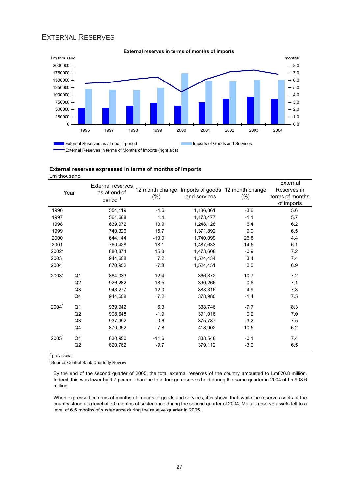### EXTERNAL RESERVES



#### **External reserves expressed in terms of months of imports** Lm thousand

|                   |                     | <b>External reserves</b> |                 |              |                                  | External        |
|-------------------|---------------------|--------------------------|-----------------|--------------|----------------------------------|-----------------|
|                   | Year                | as at end of             | 12 month change |              | Imports of goods 12 month change | Reserves in     |
|                   | period <sup>1</sup> |                          | $(\%)$          | and services | (% )                             | terms of months |
|                   |                     |                          |                 |              |                                  | of imports      |
| 1996              |                     | 554,119                  | $-4.6$          | 1,186,361    | $-3.6$                           | 5.6             |
| 1997              |                     | 561,668                  | 1.4             | 1,173,477    | $-1.1$                           | 5.7             |
| 1998              |                     | 639,972                  | 13.9            | 1,248,128    | 6.4                              | 6.2             |
| 1999              |                     | 740,320                  | 15.7            | 1,371,892    | 9.9                              | 6.5             |
| 2000              |                     | 644,144                  | $-13.0$         | 1.740.099    | 26.8                             | 4.4             |
| 2001              |                     | 760,428                  | 18.1            | 1,487,633    | $-14.5$                          | 6.1             |
| 2002 <sup>p</sup> |                     | 880,874                  | 15.8            | 1,473,608    | $-0.9$                           | 7.2             |
| 2003 <sup>p</sup> |                     | 944.608                  | 7.2             | 1.524.434    | 3.4                              | 7.4             |
| 2004 <sup>p</sup> |                     | 870,952                  | $-7.8$          | 1,524,451    | 0.0                              | 6.9             |
| 2003 <sup>p</sup> | Q <sub>1</sub>      | 884,033                  | 12.4            | 366,872      | 10.7                             | 7.2             |
|                   | Q2                  | 926,282                  | 18.5            | 390,266      | 0.6                              | 7.1             |
|                   | Q <sub>3</sub>      | 943,277                  | 12.0            | 388,316      | 4.9                              | 7.3             |
|                   | Q4                  | 944,608                  | 7.2             | 378,980      | $-1.4$                           | 7.5             |
| 2004 <sup>p</sup> | Q <sub>1</sub>      | 939,942                  | 6.3             | 338,746      | $-7.7$                           | 8.3             |
|                   | Q2                  | 908,648                  | $-1.9$          | 391,016      | 0.2                              | 7.0             |
|                   | Q3                  | 937,992                  | $-0.6$          | 375,787      | $-3.2$                           | 7.5             |
|                   | Q <sub>4</sub>      | 870,952                  | $-7.8$          | 418,902      | 10.5                             | 6.2             |
| 2005 <sup>p</sup> | Q <sub>1</sub>      | 830,950                  | $-11.6$         | 338,548      | $-0.1$                           | 7.4             |
|                   | Q <sub>2</sub>      | 820,762                  | $-9.7$          | 379,112      | $-3.0$                           | 6.5             |

<sup>p</sup> provisional

1 Source: Central Bank Quarterly Review

By the end of the second quarter of 2005, the total external reserves of the country amounted to Lm820.8 million. Indeed, this was lower by 9.7 percent than the total foreign reserves held during the same quarter in 2004 of Lm908.6 million.

When expressed in terms of months of imports of goods and services, it is shown that, while the reserve assets of the country stood at a level of 7.0 months of sustenance during the second quarter of 2004, Malta's reserve assets fell to a level of 6.5 months of sustenance during the relative quarter in 2005.